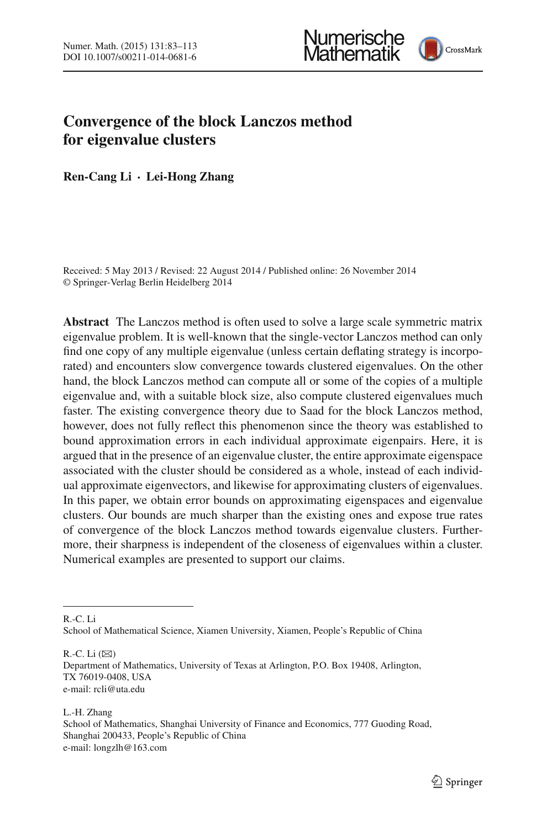



# **Convergence of the block Lanczos method for eigenvalue clusters**

**Ren-Cang Li · Lei-Hong Zhang**

Received: 5 May 2013 / Revised: 22 August 2014 / Published online: 26 November 2014 © Springer-Verlag Berlin Heidelberg 2014

**Abstract** The Lanczos method is often used to solve a large scale symmetric matrix eigenvalue problem. It is well-known that the single-vector Lanczos method can only find one copy of any multiple eigenvalue (unless certain deflating strategy is incorporated) and encounters slow convergence towards clustered eigenvalues. On the other hand, the block Lanczos method can compute all or some of the copies of a multiple eigenvalue and, with a suitable block size, also compute clustered eigenvalues much faster. The existing convergence theory due to Saad for the block Lanczos method, however, does not fully reflect this phenomenon since the theory was established to bound approximation errors in each individual approximate eigenpairs. Here, it is argued that in the presence of an eigenvalue cluster, the entire approximate eigenspace associated with the cluster should be considered as a whole, instead of each individual approximate eigenvectors, and likewise for approximating clusters of eigenvalues. In this paper, we obtain error bounds on approximating eigenspaces and eigenvalue clusters. Our bounds are much sharper than the existing ones and expose true rates of convergence of the block Lanczos method towards eigenvalue clusters. Furthermore, their sharpness is independent of the closeness of eigenvalues within a cluster. Numerical examples are presented to support our claims.

R.-C. Li

R.-C. Li  $(\boxtimes)$ 

L.-H. Zhang School of Mathematics, Shanghai University of Finance and Economics, 777 Guoding Road, Shanghai 200433, People's Republic of China e-mail: longzlh@163.com

School of Mathematical Science, Xiamen University, Xiamen, People's Republic of China

Department of Mathematics, University of Texas at Arlington, P.O. Box 19408, Arlington, TX 76019-0408, USA e-mail: rcli@uta.edu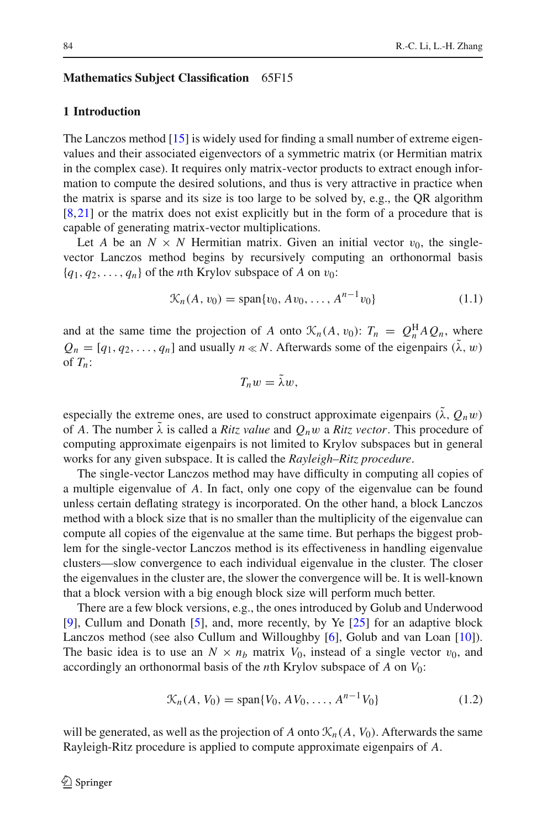#### **Mathematics Subject Classification** 65F15

# **1 Introduction**

The Lanczos method [\[15\]](#page-30-0) is widely used for finding a small number of extreme eigenvalues and their associated eigenvectors of a symmetric matrix (or Hermitian matrix in the complex case). It requires only matrix-vector products to extract enough information to compute the desired solutions, and thus is very attractive in practice when the matrix is sparse and its size is too large to be solved by, e.g., the QR algorithm [\[8](#page-29-0)[,21](#page-30-1)] or the matrix does not exist explicitly but in the form of a procedure that is capable of generating matrix-vector multiplications.

Let *A* be an  $N \times N$  Hermitian matrix. Given an initial vector  $v_0$ , the singlevector Lanczos method begins by recursively computing an orthonormal basis  ${q_1, q_2, \ldots, q_n}$  of the *n*th Krylov subspace of *A* on  $v_0$ :

$$
\mathcal{K}_n(A, v_0) = \text{span}\{v_0, Av_0, \dots, A^{n-1}v_0\} \tag{1.1}
$$

and at the same time the projection of *A* onto  $\mathcal{K}_n(A, v_0)$ :  $T_n = Q_n^H A Q_n$ , where  $Q_n = [q_1, q_2, \dots, q_n]$  and usually  $n \ll N$ . Afterwards some of the eigenpairs  $(\lambda, w)$ of *Tn*:

$$
T_n w = \lambda w,
$$

especially the extreme ones, are used to construct approximate eigenpairs  $(\lambda, Q_n w)$ of *A*. The number  $\tilde{\lambda}$  is called a *Ritz value* and  $Q_n w$  a *Ritz vector*. This procedure of computing approximate eigenpairs is not limited to Krylov subspaces but in general works for any given subspace. It is called the *Rayleigh–Ritz procedure*.

The single-vector Lanczos method may have difficulty in computing all copies of a multiple eigenvalue of *A*. In fact, only one copy of the eigenvalue can be found unless certain deflating strategy is incorporated. On the other hand, a block Lanczos method with a block size that is no smaller than the multiplicity of the eigenvalue can compute all copies of the eigenvalue at the same time. But perhaps the biggest problem for the single-vector Lanczos method is its effectiveness in handling eigenvalue clusters—slow convergence to each individual eigenvalue in the cluster. The closer the eigenvalues in the cluster are, the slower the convergence will be. It is well-known that a block version with a big enough block size will perform much better.

There are a few block versions, e.g., the ones introduced by Golub and Underwood [\[9](#page-29-1)], Cullum and Donath [\[5](#page-29-2)], and, more recently, by Ye [\[25\]](#page-30-2) for an adaptive block Lanczos method (see also Cullum and Willoughby [\[6](#page-29-3)], Golub and van Loan [\[10\]](#page-29-4)). The basic idea is to use an  $N \times n_b$  matrix  $V_0$ , instead of a single vector  $v_0$ , and accordingly an orthonormal basis of the *n*th Krylov subspace of *A* on *V*0:

$$
\mathcal{K}_n(A, V_0) = \text{span}\{V_0, A V_0, \dots, A^{n-1} V_0\}
$$
\n(1.2)

will be generated, as well as the projection of *A* onto  $\mathcal{K}_n(A, V_0)$ . Afterwards the same Rayleigh-Ritz procedure is applied to compute approximate eigenpairs of *A*.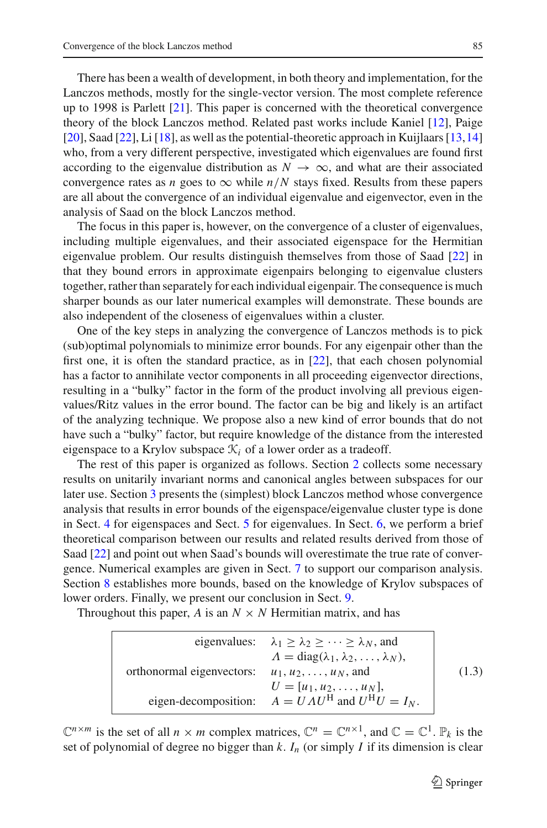There has been a wealth of development, in both theory and implementation, for the Lanczos methods, mostly for the single-vector version. The most complete reference up to 1998 is Parlett [\[21](#page-30-1)]. This paper is concerned with the theoretical convergence theory of the block Lanczos method. Related past works include Kaniel [\[12](#page-30-3)], Paige [\[20](#page-30-4)], Saad [\[22\]](#page-30-5), Li [\[18](#page-30-6)], as well as the potential-theoretic approach in Kuijlaars [\[13,](#page-30-7)[14\]](#page-30-8) who, from a very different perspective, investigated which eigenvalues are found first according to the eigenvalue distribution as  $N \to \infty$ , and what are their associated convergence rates as *n* goes to  $\infty$  while  $n/N$  stays fixed. Results from these papers are all about the convergence of an individual eigenvalue and eigenvector, even in the analysis of Saad on the block Lanczos method.

The focus in this paper is, however, on the convergence of a cluster of eigenvalues, including multiple eigenvalues, and their associated eigenspace for the Hermitian eigenvalue problem. Our results distinguish themselves from those of Saad [\[22\]](#page-30-5) in that they bound errors in approximate eigenpairs belonging to eigenvalue clusters together, rather than separately for each individual eigenpair. The consequence is much sharper bounds as our later numerical examples will demonstrate. These bounds are also independent of the closeness of eigenvalues within a cluster.

One of the key steps in analyzing the convergence of Lanczos methods is to pick (sub)optimal polynomials to minimize error bounds. For any eigenpair other than the first one, it is often the standard practice, as in  $[22]$  $[22]$ , that each chosen polynomial has a factor to annihilate vector components in all proceeding eigenvector directions, resulting in a "bulky" factor in the form of the product involving all previous eigenvalues/Ritz values in the error bound. The factor can be big and likely is an artifact of the analyzing technique. We propose also a new kind of error bounds that do not have such a "bulky" factor, but require knowledge of the distance from the interested eigenspace to a Krylov subspace  $\mathcal{K}_i$  of a lower order as a tradeoff.

The rest of this paper is organized as follows. Section [2](#page-3-0) collects some necessary results on unitarily invariant norms and canonical angles between subspaces for our later use. Section [3](#page-8-0) presents the (simplest) block Lanczos method whose convergence analysis that results in error bounds of the eigenspace/eigenvalue cluster type is done in Sect. [4](#page-10-0) for eigenspaces and Sect. [5](#page-15-0) for eigenvalues. In Sect. [6,](#page-18-0) we perform a brief theoretical comparison between our results and related results derived from those of Saad [\[22\]](#page-30-5) and point out when Saad's bounds will overestimate the true rate of convergence. Numerical examples are given in Sect. [7](#page-20-0) to support our comparison analysis. Section [8](#page-27-0) establishes more bounds, based on the knowledge of Krylov subspaces of lower orders. Finally, we present our conclusion in Sect. [9.](#page-28-0)

Throughout this paper, *A* is an  $N \times N$  Hermitian matrix, and has

eigenvalues: 
$$
\lambda_1 \ge \lambda_2 \ge \cdots \ge \lambda_N
$$
, and  
\n $\Lambda = \text{diag}(\lambda_1, \lambda_2, \ldots, \lambda_N)$ ,  
\northonormal eigenvectors:  $u_1, u_2, \ldots, u_N$ , and  
\n $U = [u_1, u_2, \ldots, u_N]$ ,  
\neigen-decomposition:  $A = U \Lambda U^H$  and  $U^H U = I_N$ . (1.3)

<span id="page-2-0"></span> $\mathbb{C}^{n \times m}$  is the set of all  $n \times m$  complex matrices,  $\mathbb{C}^n = \mathbb{C}^{n \times 1}$ , and  $\mathbb{C} = \mathbb{C}^1$ .  $\mathbb{P}_k$  is the set of polynomial of degree no bigger than  $k$ .  $I_n$  (or simply  $I$  if its dimension is clear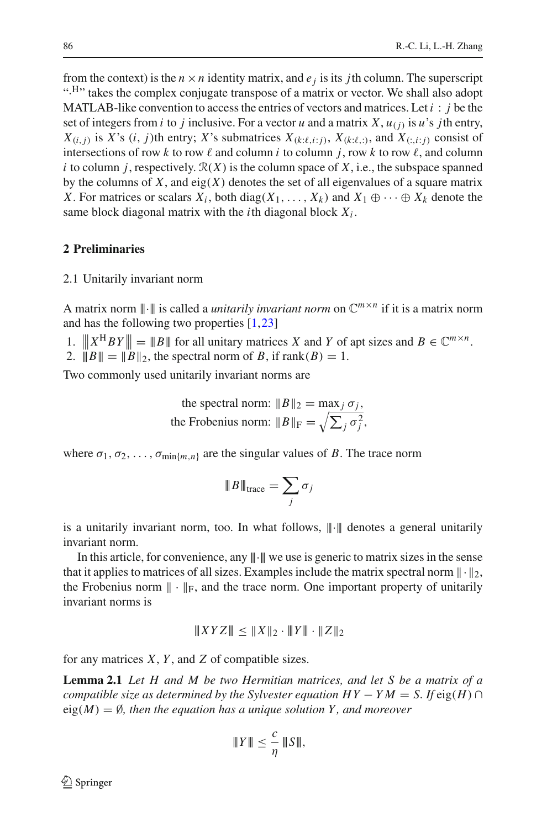from the context) is the  $n \times n$  identity matrix, and  $e_i$  is its *j*th column. The superscript ".<sup>H</sup>" takes the complex conjugate transpose of a matrix or vector. We shall also adopt MATLAB-like convention to access the entries of vectors and matrices. Let  $i : j$  be the set of integers from *i* to *j* inclusive. For a vector *u* and a matrix *X*,  $u_{(i)}$  is *u*'s *j*th entry,  $X_{(i,j)}$  is *X*'s (*i*, *j*)th entry; *X*'s submatrices  $X_{(k:\ell,i;j)}$ ,  $X_{(k:\ell,j)}$ , and  $X_{(i,i;j)}$  consist of intersections of row k to row  $\ell$  and column *i* to column *j*, row k to row  $\ell$ , and column *i* to column *j*, respectively.  $\mathcal{R}(X)$  is the column space of *X*, i.e., the subspace spanned by the columns of  $X$ , and eig $(X)$  denotes the set of all eigenvalues of a square matrix *X*. For matrices or scalars  $X_i$ , both diag( $X_1, \ldots, X_k$ ) and  $X_1 \oplus \cdots \oplus X_k$  denote the same block diagonal matrix with the *i*th diagonal block *Xi* .

# <span id="page-3-0"></span>**2 Preliminaries**

## 2.1 Unitarily invariant norm

A matrix norm  $\|\cdot\|$  is called a *unitarily invariant norm* on  $\mathbb{C}^{m \times n}$  if it is a matrix norm and has the following two properties [\[1](#page-29-5)[,23](#page-30-9)]

1.  $\|X^H B Y\| = \|B\|$  for all unitary matrices *X* and *Y* of apt sizes and  $B \in \mathbb{C}^{m \times n}$ .

1.  $||A \ B|| = ||B||_2$ , the spectral norm of *B*, if  $rank(B) = 1$ .

Two commonly used unitarily invariant norms are

the spectral norm:  $||B||_2 = \max_j \sigma_j$ , the Frobenius norm:  $||B||_F = \sqrt{\sum_j \sigma_j^2}$ ,

where  $\sigma_1, \sigma_2, \ldots, \sigma_{\min\{m,n\}}$  are the singular values of *B*. The trace norm

$$
\|B\|_{\text{trace}} = \sum_j \sigma_j
$$

is a unitarily invariant norm, too. In what follows,  $\|\cdot\|$  denotes a general unitarily invariant norm.

In this article, for convenience, any  $\|\cdot\|$  we use is generic to matrix sizes in the sense that it applies to matrices of all sizes. Examples include the matrix spectral norm  $\|\cdot\|_2$ , the Frobenius norm  $\|\cdot\|_F$ , and the trace norm. One important property of unitarily invariant norms is

$$
|||XYZ|| \leq ||X||_2 \cdot ||Y|| \cdot ||Z||_2
$$

<span id="page-3-1"></span>for any matrices *X*, *Y* , and *Z* of compatible sizes.

**Lemma 2.1** *Let H and M be two Hermitian matrices, and let S be a matrix of a compatible size as determined by the Sylvester equation*  $HY - YM = S$ *. If*  $eig(H) \cap$  $eig(M) = \emptyset$ , then the equation has a unique solution Y, and moreover

$$
T\|Y\| \leq \frac{c}{\eta} T\|S\|,
$$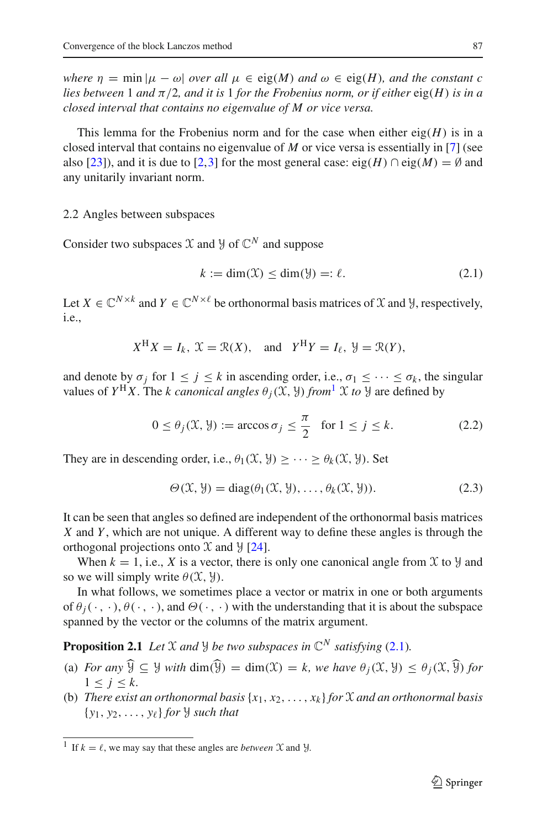*where*  $\eta = \min |\mu - \omega|$  *over all*  $\mu \in eig(M)$  *and*  $\omega \in eig(H)$ *, and the constant c lies between* 1 *and* π/2*, and it is* 1 *for the Frobenius norm, or if either* eig(*H*) *is in a closed interval that contains no eigenvalue of M or vice versa.*

This lemma for the Frobenius norm and for the case when either  $eig(H)$  is in a closed interval that contains no eigenvalue of *M* or vice versa is essentially in [\[7](#page-29-6)] (see also [\[23\]](#page-30-9)), and it is due to [\[2](#page-29-7)[,3](#page-29-8)] for the most general case: eig(*H*)  $\cap$  eig(*M*) = Ø and any unitarily invariant norm.

#### 2.2 Angles between subspaces

Consider two subspaces  $X$  and  $Y$  of  $\mathbb{C}^N$  and suppose

$$
k := \dim(\mathfrak{X}) \le \dim(\mathfrak{Y}) =: \ell. \tag{2.1}
$$

<span id="page-4-1"></span>Let  $X \in \mathbb{C}^{N \times k}$  and  $Y \in \mathbb{C}^{N \times \ell}$  be orthonormal basis matrices of X and Y, respectively, i.e.,

$$
X^H X = I_k
$$
,  $X = \mathcal{R}(X)$ , and  $Y^H Y = I_\ell$ ,  $\mathcal{Y} = \mathcal{R}(Y)$ ,

and denote by  $\sigma_j$  for  $1 \leq j \leq k$  in ascending order, i.e.,  $\sigma_1 \leq \cdots \leq \sigma_k$ , the singular values of  $Y^H X$ . The *k* canonical angles  $\theta_i(\mathfrak{X}, \mathfrak{Y})$  from  $\mathfrak{X}$  to  $\mathfrak{Y}$  are defined by

$$
0 \le \theta_j(\mathfrak{X}, \mathfrak{Y}) := \arccos \sigma_j \le \frac{\pi}{2} \quad \text{for } 1 \le j \le k. \tag{2.2}
$$

They are in descending order, i.e.,  $\theta_1(\mathfrak{X}, \mathfrak{Y}) \geq \cdots \geq \theta_k(\mathfrak{X}, \mathfrak{Y})$ . Set

$$
\Theta(\mathcal{X}, \mathcal{Y}) = \text{diag}(\theta_1(\mathcal{X}, \mathcal{Y}), \dots, \theta_k(\mathcal{X}, \mathcal{Y})).
$$
\n(2.3)

It can be seen that angles so defined are independent of the orthonormal basis matrices *X* and *Y* , which are not unique. A different way to define these angles is through the orthogonal projections onto  $\mathfrak X$  and  $\mathfrak Y$  [\[24\]](#page-30-10).

When  $k = 1$ , i.e., X is a vector, there is only one canonical angle from X to  $\mathcal{Y}$  and so we will simply write  $\theta(\mathfrak{X}, \mathfrak{Y})$ .

In what follows, we sometimes place a vector or matrix in one or both arguments of  $\theta_i(\cdot, \cdot), \theta(\cdot, \cdot)$ , and  $\Theta(\cdot, \cdot)$  with the understanding that it is about the subspace spanned by the vector or the columns of the matrix argument.

<span id="page-4-2"></span>**Proposition 2.1** *Let*  $X$  *and*  $Y$  *be two subspaces in*  $\mathbb{C}^N$  *satisfying* [\(2.1\)](#page-4-1)*.* 

- (a) *For any*  $\widehat{\mathcal{Y}} \subseteq \mathcal{Y}$  *with* dim( $\widehat{\mathcal{Y}}$ ) = dim( $\mathcal{X}$ ) = k, we have  $\theta_i(\mathcal{X}, \mathcal{Y}) \leq \theta_i(\mathcal{X}, \widehat{\mathcal{Y}})$  *for*  $1 \leq j \leq k$ .
- (b) *There exist an orthonormal basis*  $\{x_1, x_2, \ldots, x_k\}$  *for*  $\mathcal X$  *and an orthonormal basis*  $\{y_1, y_2, \ldots, y_\ell\}$  *for*  $\mathcal{Y}$  *such that*

<span id="page-4-0"></span><sup>&</sup>lt;sup>1</sup> If  $k = \ell$ , we may say that these angles are *between*  $\mathcal{X}$  and  $\mathcal{Y}$ .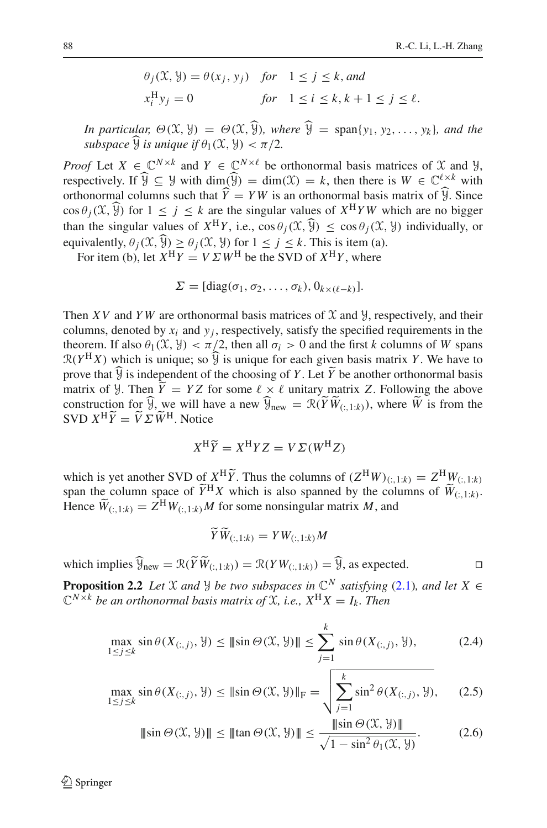$$
\theta_j(\mathcal{X}, \mathcal{Y}) = \theta(x_j, y_j) \quad \text{for} \quad 1 \le j \le k, \text{ and}
$$
\n
$$
x_i^H y_j = 0 \qquad \text{for} \quad 1 \le i \le k, k+1 \le j \le \ell.
$$

*In particular,*  $\Theta(\mathfrak{X}, \mathfrak{Y}) = \Theta(\mathfrak{X}, \widehat{\mathfrak{Y}})$ *, where*  $\widehat{\mathfrak{Y}} = \text{span}\{y_1, y_2, \ldots, y_k\}$ *, and the subspace*  $\widehat{Y}$  *is unique if*  $\theta_1(\mathcal{X}, \mathcal{Y}) < \pi/2$ .

*Proof* Let  $X \in \mathbb{C}^{N \times k}$  and  $Y \in \mathbb{C}^{N \times \ell}$  be orthonormal basis matrices of X and Y. respectively. If  $\widehat{Y} \subseteq Y$  with dim( $\widehat{Y}$ ) = dim( $X$ ) = k, then there is  $W \in \mathbb{C}^{\ell \times k}$  with orthonormal columns such that  $Y = YW$  is an orthonormal basis matrix of  $Y$ . Since  $\cos \theta_i(\mathfrak{X},\widehat{\mathfrak{Y}})$  for  $1 \leq i \leq k$  are the singular values of  $X^H Y W$  which are no bigger than the singular values of  $X^H Y$ , i.e.,  $\cos \theta_i(\mathfrak{X}, \widehat{\mathfrak{Y}}) \leq \cos \theta_i(\mathfrak{X}, \mathfrak{Y})$  individually, or equivalently,  $\theta_i(\mathfrak{X}, \widehat{\mathfrak{Y}}) \geq \theta_i(\mathfrak{X}, \mathfrak{Y})$  for  $1 \leq j \leq k$ . This is item (a).

For item (b), let  $X^H Y = V \Sigma W^H$  be the SVD of  $X^H Y$ , where

$$
\Sigma = [\text{diag}(\sigma_1, \sigma_2, \ldots, \sigma_k), 0_{k \times (\ell - k)}].
$$

Then *XV* and *YW* are orthonormal basis matrices of  $X$  and  $Y$ , respectively, and their columns, denoted by  $x_i$  and  $y_i$ , respectively, satisfy the specified requirements in the theorem. If also  $\theta_1(\mathfrak{X}, \mathfrak{Y}) < \pi/2$ , then all  $\sigma_i > 0$  and the first *k* columns of *W* spans  $\mathcal{R}(Y^H X)$  which is unique; so  $\hat{Y}$  is unique for each given basis matrix *Y*. We have to prove that  $\mathcal{Y}$  is independent of the choosing of *Y*. Let *Y* be another orthonormal basis<br>matrix of 11 Than  $\widetilde{Y} = YZ$  for some  $\ell_{\text{out}}$   $\ell$  unitary matrix Z. Fallowing the share matrix of *Y*. Then  $Y = YZ$  for some  $\ell \times \ell$  unitary matrix *Z*. Following the above<br>construction for  $\widehat{\mathcal{U}}$  are will have a new  $\widehat{\mathcal{U}}$ construction for  $\mathcal{Y}$ , we will have a new  $\mathcal{Y}_{\text{new}} = \mathcal{R}(YW_{(:,1:k)})$ , where *W* is from the SVD  $X^{\text{H}}\widetilde{Y} = \widetilde{V}\Sigma \widetilde{W}^{\text{H}}$ . Notice

$$
X^{\rm H}\widetilde{Y} = X^{\rm H}YZ = V\Sigma(W^{\rm H}Z)
$$

which is yet another SVD of  $X^H \widetilde{Y}$ . Thus the columns of  $(Z^H W)_{(:,1:k)} = Z^H W_{(:,1:k)}$ <br>span the column space of  $\widetilde{Y}^H X$  which is also spanned by the columns of  $\widetilde{W}_{(:,1:k)}$ . Hence  $\widetilde{W}_{(:,1:k)} = Z^{\text{H}} W_{(:,1:k)} M$  for some nonsingular matrix *M*, and

$$
\widetilde{Y}\widetilde{W}_{(:,1:k)}=YW_{(:,1:k)}M
$$

which implies  $\mathcal{Y}_{\text{new}} = \mathcal{R}(YW_{(:,1:k)}) = \mathcal{R}(YW_{(:,1:k)}) = \mathcal{Y}$ , as expected.

<span id="page-5-1"></span><span id="page-5-0"></span>**Proposition 2.2** *Let* X *and Y be two subspaces in*  $\mathbb{C}^N$  *satisfying* [\(2.1\)](#page-4-1)*, and let*  $X \in$  $\mathbb{C}^{N \times k}$  *be an orthonormal basis matrix of*  $\hat{\mathbf{X}}$ *, i.e.,*  $X^{\mathbf{H}}X = I_k$ *. Then* 

$$
\max_{1 \le j \le k} \sin \theta(X_{(:,j)}, \mathcal{Y}) \le ||\sin \Theta(\mathcal{X}, \mathcal{Y})|| \le \sum_{j=1}^{k} \sin \theta(X_{(:,j)}, \mathcal{Y}),
$$
\n(2.4)

$$
\max_{1 \le j \le k} \sin \theta(X_{(:,j)}, \mathcal{Y}) \le ||\sin \Theta(\mathcal{X}, \mathcal{Y})||_{\mathcal{F}} = \sqrt{\sum_{j=1}^{k} \sin^2 \theta(X_{(:,j)}, \mathcal{Y})},\qquad(2.5)
$$

$$
\|\sin\Theta(\mathcal{X}, \mathcal{Y})\| \le \|\tan\Theta(\mathcal{X}, \mathcal{Y})\| \le \frac{\|\sin\Theta(\mathcal{X}, \mathcal{Y})\|}{\sqrt{1 - \sin^2\theta_1(\mathcal{X}, \mathcal{Y})}}.\tag{2.6}
$$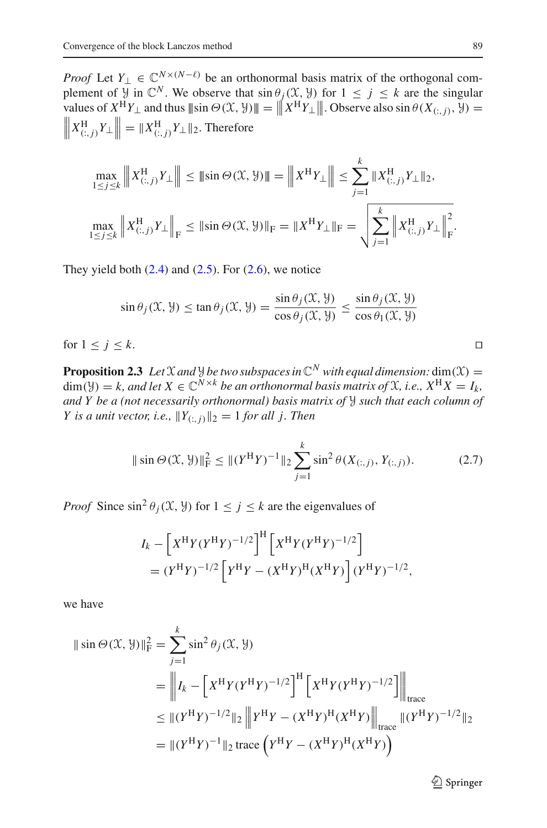*Proof* Let  $Y_1 \in \mathbb{C}^{N \times (N-\ell)}$  be an orthonormal basis matrix of the orthogonal complement of  $\mathcal{Y}$  in  $\mathbb{C}^N$ . We observe that  $\sin \theta_j(\mathcal{X}, \mathcal{Y})$  for  $1 \leq j \leq k$  are the singular values of  $X^H Y_\perp$  and thus  $\|\sin \Theta(\mathcal{X}, \mathcal{Y})\| = \left\| X^H Y_\perp \right\|$ . Observe also  $\sin \theta(X_{(:,j)}, \mathcal{Y}) =$ <br> $\left\| X^H \right\|_X Y_\perp \right\| = \|X^H \right\|_X Y_\perp$  Therefore  $\left\| X_{(:,j)}^{\text{H}} Y_{\perp} \right\| = \| X_{(:,j)}^{\text{H}} Y_{\perp} \|_2$ . Therefore

$$
\max_{1 \le j \le k} \| X_{(:,j)}^{\mathcal{H}} Y_{\perp} \| \le \| \sin \Theta(\mathfrak{X}, \mathcal{Y}) \| = \| X^{\mathcal{H}} Y_{\perp} \| \le \sum_{j=1}^{k} \| X_{(:,j)}^{\mathcal{H}} Y_{\perp} \|_2,
$$
  

$$
\max_{1 \le j \le k} \| X_{(:,j)}^{\mathcal{H}} Y_{\perp} \|_F \le \| \sin \Theta(\mathfrak{X}, \mathcal{Y}) \|_F = \| X^{\mathcal{H}} Y_{\perp} \|_F = \sqrt{\sum_{j=1}^{k} \| X_{(:,j)}^{\mathcal{H}} Y_{\perp} \|_F^2}.
$$

They yield both  $(2.4)$  and  $(2.5)$ . For  $(2.6)$ , we notice

$$
\sin \theta_j(\mathcal{X}, \mathcal{Y}) \le \tan \theta_j(\mathcal{X}, \mathcal{Y}) = \frac{\sin \theta_j(\mathcal{X}, \mathcal{Y})}{\cos \theta_j(\mathcal{X}, \mathcal{Y})} \le \frac{\sin \theta_j(\mathcal{X}, \mathcal{Y})}{\cos \theta_1(\mathcal{X}, \mathcal{Y})}
$$

for  $1 \leq j \leq k$ .

<span id="page-6-1"></span>**Proposition 2.3** *Let*  $\mathcal X$  *and*  $\mathcal Y$  *be two subspaces in*  $\mathbb C^N$  *with equal dimension:* dim( $\mathcal X$ ) =  $\dim(\mathcal{Y}) = k$ , and let  $X \in \mathbb{C}^{N \times k}$  *be an orthonormal basis matrix of*  $\mathcal{X}$ *, i.e.,*  $X^H X = I_k$ *, and Y be a (not necessarily orthonormal) basis matrix of* Y *such that each column of Y* is a unit vector, i.e.,  $||Y_{(:,j)}||_2 = 1$  *for all j. Then* 

$$
\|\sin\Theta(\mathcal{X}, \mathcal{Y})\|_{\mathrm{F}}^2 \le \| (Y^{\mathrm{H}} Y)^{-1} \|_2 \sum_{j=1}^k \sin^2 \theta(X_{(:,j)}, Y_{(:,j)}). \tag{2.7}
$$

<span id="page-6-0"></span>*Proof* Since  $\sin^2 \theta_i(\mathfrak{X}, \mathfrak{Y})$  for  $1 \leq j \leq k$  are the eigenvalues of

$$
I_{k} - \left[ X^{H} Y (Y^{H} Y)^{-1/2} \right]^{H} \left[ X^{H} Y (Y^{H} Y)^{-1/2} \right]
$$
  
=  $(Y^{H} Y)^{-1/2} \left[ Y^{H} Y - (X^{H} Y)^{H} (X^{H} Y) \right] (Y^{H} Y)^{-1/2},$ 

we have

$$
\|\sin\Theta(\mathcal{X}, \mathcal{Y})\|_{\mathrm{F}}^{2} = \sum_{j=1}^{k} \sin^{2}\theta_{j}(\mathcal{X}, \mathcal{Y})
$$
  
\n
$$
= \left\| I_{k} - \left[ X^{\mathrm{H}} Y (Y^{\mathrm{H}} Y)^{-1/2} \right]^{H} \left[ X^{\mathrm{H}} Y (Y^{\mathrm{H}} Y)^{-1/2} \right] \right\|_{\text{trace}}
$$
  
\n
$$
\leq \| (Y^{\mathrm{H}} Y)^{-1/2} \|_{2} \left\| Y^{\mathrm{H}} Y - (X^{\mathrm{H}} Y)^{\mathrm{H}} (X^{\mathrm{H}} Y) \right\|_{\text{trace}} \| (Y^{\mathrm{H}} Y)^{-1/2} \|_{2}
$$
  
\n
$$
= \| (Y^{\mathrm{H}} Y)^{-1} \|_{2} \operatorname{trace} \left( Y^{\mathrm{H}} Y - (X^{\mathrm{H}} Y)^{\mathrm{H}} (X^{\mathrm{H}} Y) \right)
$$

<sup>2</sup> Springer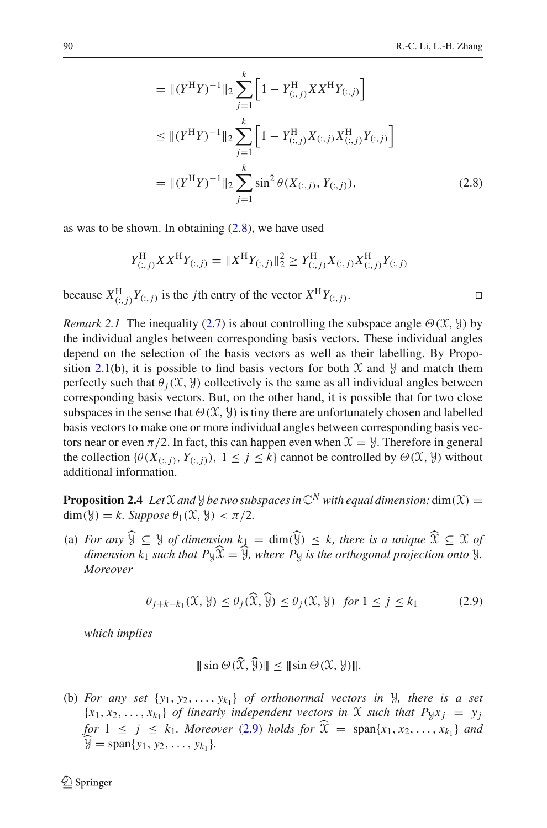<span id="page-7-0"></span>
$$
= \|(Y^{H}Y)^{-1}\|_{2} \sum_{j=1}^{k} \left[1 - Y_{(:,j)}^{H} XX^{H}Y_{(:,j)}\right]
$$
  
\n
$$
\leq \|(Y^{H}Y)^{-1}\|_{2} \sum_{j=1}^{k} \left[1 - Y_{(:,j)}^{H}X_{(:,j)}X_{(:,j)}^{H}Y_{(:,j)}\right]
$$
  
\n
$$
= \|(Y^{H}Y)^{-1}\|_{2} \sum_{j=1}^{k} \sin^{2} \theta(X_{(:,j)}, Y_{(:,j)}),
$$
\n(2.8)

as was to be shown. In obtaining  $(2.8)$ , we have used

$$
Y_{(:,j)}^{\rm H} X X^{\rm H} Y_{(:,j)} = \| X^{\rm H} Y_{(:,j)} \|_2^2 \ge Y_{(:,j)}^{\rm H} X_{(:,j)} X_{(:,j)}^{\rm H} Y_{(:,j)}
$$

because  $X_{(:,j)}^{\text{H}} Y_{(:,j)}$  is the *j*th entry of the vector  $X^{\text{H}} Y_{(:,j)}$ .

<span id="page-7-3"></span>*Remark 2.1* The inequality [\(2.7\)](#page-6-0) is about controlling the subspace angle  $\Theta(\mathcal{X}, \mathcal{Y})$  by the individual angles between corresponding basis vectors. These individual angles depend on the selection of the basis vectors as well as their labelling. By Propo-sition [2.1\(](#page-4-2)b), it is possible to find basis vectors for both  $\mathcal X$  and  $\mathcal Y$  and match them perfectly such that  $\theta_i(\mathfrak{X}, \mathfrak{Y})$  collectively is the same as all individual angles between corresponding basis vectors. But, on the other hand, it is possible that for two close subspaces in the sense that  $\Theta(\mathcal{X}, \mathcal{Y})$  is tiny there are unfortunately chosen and labelled basis vectors to make one or more individual angles between corresponding basis vectors near or even  $\pi/2$ . In fact, this can happen even when  $\mathcal{X} = \mathcal{Y}$ . Therefore in general the collection  $\{\theta(X_{(:,j)}, Y_{(:,j)}), 1 \le j \le k\}$  cannot be controlled by  $\Theta(\mathfrak{X}, \mathcal{Y})$  without additional information.

<span id="page-7-2"></span>**Proposition 2.4** *Let*  $\mathcal X$  *and*  $\mathcal Y$  *be two subspaces in*  $\mathbb C^N$  *with equal dimension:* dim( $\mathcal X$ ) = dim( $\mathcal{Y}$ ) = *k.* Suppose  $\theta_1(\mathcal{X}, \mathcal{Y}) < \pi/2$ .

(a) *For any*  $\widehat{Y} \subseteq Y$  *of dimension*  $k_1 = \dim(\widehat{Y}) \leq k$ , there is a unique  $\widehat{X} \subseteq X$  *of dimension k<sub>1</sub> such that P* $\hat{x} = \hat{y}$ *, where P*<sub>y</sub> *is the orthogonal projection onto*  $\hat{y}$ *. Moreover*

$$
\theta_{j+k-k_1}(\mathfrak{X}, \mathfrak{Y}) \le \theta_j(\mathfrak{X}, \mathfrak{Y}) \le \theta_j(\mathfrak{X}, \mathfrak{Y}) \quad \text{for } 1 \le j \le k_1 \tag{2.9}
$$

<span id="page-7-1"></span>*which implies*

$$
\|\sin\Theta(\mathfrak{X},\mathfrak{Y})\| \le \|\sin\Theta(\mathfrak{X},\mathfrak{Y})\|.
$$

(b) *For any set*  $\{y_1, y_2, \ldots, y_{k_1}\}$  *of orthonormal vectors in*  $\}$ *, there is a set*  ${x_1, x_2, \ldots, x_{k_1}}$  *of linearly independent vectors in*  $\mathcal X$  *such that*  $P_{\mathcal Y} x_j = y_j$ *for*  $1 \leq j \leq k_1$ *. Moreover* [\(2.9\)](#page-7-1) *holds for*  $\hat{\mathcal{X}} = \text{span}\{x_1, x_2, ..., x_{k_1}\}$  *and*  $\hat{y} = \text{span}\{y_1, y_2, \ldots, y_{k_1}\}.$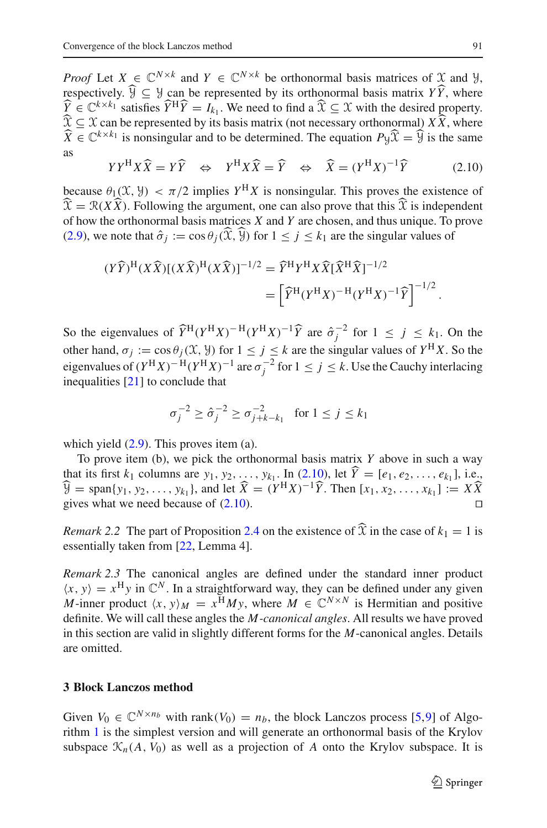*Proof* Let  $X \in \mathbb{C}^{N \times k}$  and  $Y \in \mathbb{C}^{N \times k}$  be orthonormal basis matrices of X and Y, respectively.  $\mathcal{Y} \subseteq \mathcal{Y}$  can be represented by its orthonormal basis matrix *YY*, where  $\hat{v} \in \mathbb{C}^{k \times k}$  esting  $\hat{v} \in \hat{v}$  *V*  $\hat{v}$  *V* and to find a  $\hat{v} \in \mathcal{X}$  with the desired preparty.  $\widehat{Y} \in \mathbb{C}^{k \times k_1}$  satisfies  $\widehat{Y}^{\text{H}}\widehat{Y} = I_{k_1}$ . We need to find a  $\widehat{X} \subseteq \mathcal{X}$  with the desired property.  $\widehat{\mathcal{X}} \subseteq \mathcal{X}$  can be represented by its basis matrix (not necessary orthonormal)  $X \widehat{X}$ , where  $\widehat{X} \in \mathbb{C}^{k \times k_1}$  is nonsingular and to be determined. The equation  $P_Y\widehat{X} = \widehat{Y}$  is the same as

$$
YY^{\rm H}X\widehat{X} = Y\widehat{Y} \Leftrightarrow Y^{\rm H}X\widehat{X} = \widehat{Y} \Leftrightarrow \widehat{X} = (Y^{\rm H}X)^{-1}\widehat{Y}
$$
 (2.10)

<span id="page-8-1"></span>because  $\theta_1(\mathfrak{X}, \mathfrak{Y}) < \pi/2$  implies  $Y^H X$  is nonsingular. This proves the existence of  $\widehat{X} = \mathcal{R}(X\widehat{X})$ . Following the argument, one can also prove that this  $\widehat{X}$  is independent of how the orthonormal basis matrices *X* and *Y* are chosen, and thus unique. To prove [\(2.9\)](#page-7-1), we note that  $\hat{\sigma}_i := \cos \theta_i(\widehat{x}, \widehat{y})$  for  $1 \leq j \leq k_1$  are the singular values of

$$
(Y\widehat{Y})^{\mathrm{H}}(X\widehat{X})[(X\widehat{X})^{\mathrm{H}}(X\widehat{X})]^{-1/2} = \widehat{Y}^{\mathrm{H}}Y^{\mathrm{H}}X\widehat{X}[\widehat{X}^{\mathrm{H}}\widehat{X}]^{-1/2}
$$
  
= 
$$
\left[\widehat{Y}^{\mathrm{H}}(Y^{\mathrm{H}}X)^{-\mathrm{H}}(Y^{\mathrm{H}}X)^{-1}\widehat{Y}\right]^{-1/2}.
$$

So the eigenvalues of  $\widehat{Y}^{\text{H}}(Y^{\text{H}}X)^{-\text{H}}(Y^{\text{H}}X)^{-1}\widehat{Y}$  are  $\widehat{\sigma}_{j}^{-2}$  for  $1 \leq j \leq k_1$ . On the other hand,  $\sigma_j := \cos \theta_j(\mathfrak{X}, \mathfrak{Y})$  for  $1 \leq j \leq k$  are the singular values of  $Y^H X$ . So the eigenvalues of  $(Y^H X)^{-H} (Y^H X)^{-1}$  are  $\sigma_j^{-2}$  for  $1 \le j \le k$ . Use the Cauchy interlacing inequalities [\[21](#page-30-1)] to conclude that

$$
\sigma_j^{-2} \ge \hat{\sigma}_j^{-2} \ge \sigma_{j+k-k_1}^{-2} \text{ for } 1 \le j \le k_1
$$

which yield  $(2.9)$ . This proves item (a).

To prove item (b), we pick the orthonormal basis matrix *Y* above in such a way that its first  $k_1$  columns are  $y_1, y_2, ..., y_{k_1}$ . In [\(2.10\)](#page-8-1), let  $Y = [e_1, e_2, ..., e_{k_1}]$ , i.e.,  $\hat{y} = \text{span}{y_1, y_2, \ldots, y_{k_1}}$ , and let  $\hat{X} = (Y^H X)^{-1} \hat{Y}$ . Then  $[x_1, x_2, \ldots, x_{k_1}] := X \hat{X}$ gives what we need because of [\(2.10\)](#page-8-1).

<span id="page-8-2"></span>*Remark* 2.2 The part of Proposition [2.4](#page-7-2) on the existence of  $\hat{\chi}$  in the case of  $k_1 = 1$  is essentially taken from [\[22](#page-30-5), Lemma 4].

*Remark 2.3* The canonical angles are defined under the standard inner product  $\langle x, y \rangle = x^H y$  in  $\mathbb{C}^N$ . In a straightforward way, they can be defined under any given *M*-inner product  $\langle x, y \rangle_M = x^{\text{H}}My$ , where  $M \in \mathbb{C}^{N \times N}$  is Hermitian and positive definite. We will call these angles the *M-canonical angles*. All results we have proved in this section are valid in slightly different forms for the *M*-canonical angles. Details are omitted.

#### <span id="page-8-0"></span>**3 Block Lanczos method**

Given  $V_0 \in \mathbb{C}^{N \times n_b}$  with rank $(V_0) = n_b$ , the block Lanczos process [\[5,](#page-29-2)[9\]](#page-29-1) of Algorithm [1](#page-9-0) is the simplest version and will generate an orthonormal basis of the Krylov subspace  $\mathcal{K}_n(A, V_0)$  as well as a projection of A onto the Krylov subspace. It is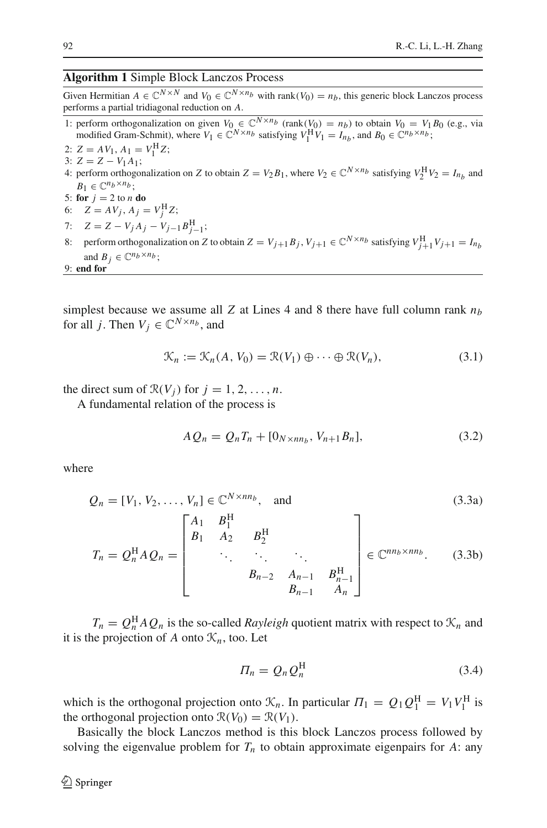#### <span id="page-9-0"></span>**Algorithm 1** Simple Block Lanczos Process

Given Hermitian  $A \in \mathbb{C}^{N \times N}$  and  $V_0 \in \mathbb{C}^{N \times n_b}$  with rank( $V_0$ ) =  $n_b$ , this generic block Lanczos process performs a partial tridiagonal reduction on *A*.

- 1: perform orthogonalization on given  $V_0 \in \mathbb{C}^{N \times n_b}$  (rank( $V_0$ ) =  $n_b$ ) to obtain  $V_0 = V_1 B_0$  (e.g., via modified Gram-Schmit), where  $V_1 \in \mathbb{C}^{N \times n_b}$  satisfying  $V_1^H V_1 = I_{n_b}$ , and  $B_0 \in \mathbb{C}^{n_b \times n_b}$ ;
- 2:  $Z = AV_1, A_1 = V_1^{\text{H}}Z;$
- 3:  $Z = Z V_1 A_1$ ; 4: perform orthogonalization on *Z* to obtain  $Z = V_2 B_1$ , where  $V_2 \in \mathbb{C}^{N \times n_b}$  satisfying  $V_2^H V_2 = I_{n_b}$  and  $B_1 \in \mathbb{C}^{n_b \times n_b}$ ;
- 5: **for**  $j = 2$  to *n* **do**
- 6:  $Z = AV_j, A_j = V_j^{\text{H}}Z;$
- 7:  $Z = Z V_j A_j V_{j-1} B_{j-1}^{\text{H}};$
- 8: perform orthogonalization on *Z* to obtain  $Z = V_{j+1}B_j$ ,  $V_{j+1} \in \mathbb{C}^{N \times n_b}$  satisfying  $V_{j+1}^{\text{H}}V_{j+1} = I_{n_b}$ and  $B_j \in \mathbb{C}^{n_b \times n_b}$ ;

$$
9: end for
$$

simplest because we assume all *Z* at Lines 4 and 8 there have full column rank  $n_b$ for all *j*. Then  $V_i \in \mathbb{C}^{N \times n_b}$ , and

$$
\mathcal{K}_n := \mathcal{K}_n(A, V_0) = \mathcal{R}(V_1) \oplus \cdots \oplus \mathcal{R}(V_n),
$$
\n(3.1)

the direct sum of  $\mathcal{R}(V_i)$  for  $j = 1, 2, \ldots, n$ .

A fundamental relation of the process is

$$
A Q_n = Q_n T_n + [0_{N \times nn_b}, V_{n+1} B_n], \tag{3.2}
$$

where

$$
Q_n = [V_1, V_2, \dots, V_n] \in \mathbb{C}^{N \times nn_b}, \text{ and } (3.3a)
$$

$$
T_{n} = Q_{n}^{H}AQ_{n} = \begin{bmatrix} A_{1} & B_{1}^{H} & & & \\ B_{1} & A_{2} & B_{2}^{H} & & \\ & \ddots & \ddots & \ddots & \\ & & B_{n-2} & A_{n-1} & B_{n-1}^{H} \\ & & & B_{n-1} & A_{n} \end{bmatrix} \in \mathbb{C}^{nn_{b} \times nn_{b}}.
$$
 (3.3b)

 $T_n = Q_n^{\text{H}} A Q_n$  is the so-called *Rayleigh* quotient matrix with respect to  $\mathcal{K}_n$  and it is the projection of A onto  $\mathcal{K}_n$ , too. Let

<span id="page-9-1"></span>
$$
\Pi_n = Q_n Q_n^{\rm H} \tag{3.4}
$$

which is the orthogonal projection onto  $\mathcal{K}_n$ . In particular  $\Pi_1 = Q_1 Q_1^H = V_1 V_1^H$  is the orthogonal projection onto  $\mathcal{R}(V_0) = \mathcal{R}(V_1)$ .

Basically the block Lanczos method is this block Lanczos process followed by solving the eigenvalue problem for  $T<sub>n</sub>$  to obtain approximate eigenpairs for A: any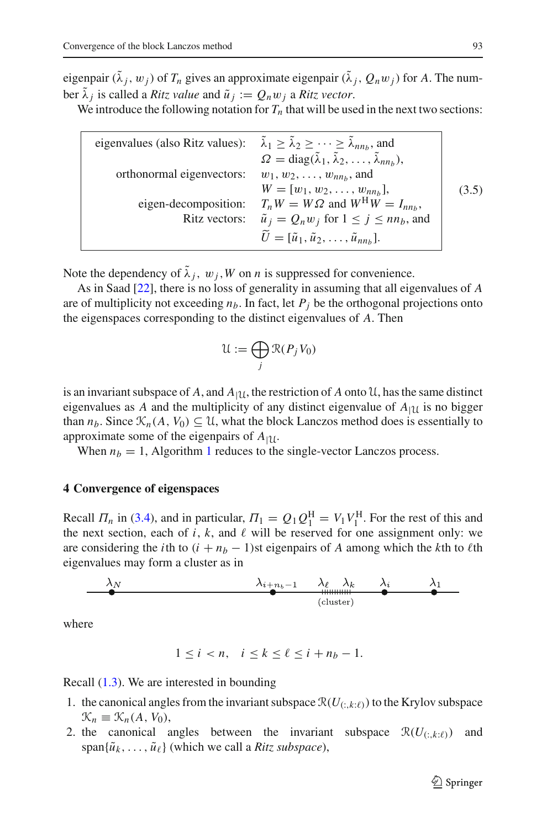eigenpair  $(\tilde{\lambda}_i, w_i)$  of  $T_n$  gives an approximate eigenpair  $(\tilde{\lambda}_i, Q_n w_i)$  for A. The number  $\tilde{\lambda}_i$  is called a *Ritz value* and  $\tilde{u}_i := Q_n w_i$  a *Ritz vector*.

We introduce the following notation for  $T_n$  that will be used in the next two sections:

| eigenvalues (also Ritz values): $\tilde{\lambda}_1 \ge \tilde{\lambda}_2 \ge \cdots \ge \tilde{\lambda}_{nn_b}$ , and | $\Omega = \text{diag}(\tilde{\lambda}_1, \tilde{\lambda}_2, \dots, \tilde{\lambda}_{nn_b}),$ |       |
|-----------------------------------------------------------------------------------------------------------------------|----------------------------------------------------------------------------------------------|-------|
| orthonormal eigenvectors:                                                                                             | $w_1, w_2, \ldots, w_{nn_b}$ , and                                                           |       |
|                                                                                                                       | $W = [w_1, w_2, \ldots, w_{nn_b}],$                                                          | (3.5) |
| eigen-decomposition:                                                                                                  | $T_n W = W \Omega$ and $W^H W = I_{nn_b}$ ,                                                  |       |
| Ritz vectors:                                                                                                         | $\tilde{u}_j = Q_n w_j$ for $1 \le j \le nn_b$ , and                                         |       |
|                                                                                                                       | $\widetilde{U} = [\widetilde{u}_1, \widetilde{u}_2, \ldots, \widetilde{u}_{nn_b}].$          |       |

<span id="page-10-1"></span>Note the dependency of  $\lambda_j$ ,  $w_j$ ,  $W$  on *n* is suppressed for convenience.

As in Saad [\[22](#page-30-5)], there is no loss of generality in assuming that all eigenvalues of *A* are of multiplicity not exceeding  $n_b$ . In fact, let  $P_j$  be the orthogonal projections onto the eigenspaces corresponding to the distinct eigenvalues of *A*. Then

$$
\mathcal{U} := \bigoplus_j \mathcal{R}(P_j V_0)
$$

is an invariant subspace of *A*, and  $A_{|U}$ , the restriction of *A* onto U, has the same distinct eigenvalues as *A* and the multiplicity of any distinct eigenvalue of  $A_{11}$  is no bigger than  $n_b$ . Since  $\mathcal{K}_n(A, V_0) \subseteq \mathcal{U}$ , what the block Lanczos method does is essentially to approximate some of the eigenpairs of  $A_{|U}$ .

When  $n_b = 1$  $n_b = 1$ , Algorithm 1 reduces to the single-vector Lanczos process.

#### <span id="page-10-0"></span>**4 Convergence of eigenspaces**

Recall  $\Pi_n$  in [\(3.4\)](#page-9-1), and in particular,  $\Pi_1 = Q_1 Q_1^{\text{H}} = V_1 V_1^{\text{H}}$ . For the rest of this and the next section, each of  $i$ ,  $k$ , and  $\ell$  will be reserved for one assignment only: we are considering the *i*th to  $(i + n_b - 1)$ st eigenpairs of *A* among which the *k*th to *l*th eigenvalues may form a cluster as in

$$
\begin{array}{c|ccccc}\n\lambda_N & \lambda_{i+n_b-1} & \lambda_\ell & \lambda_k & \lambda_i & \lambda_1 \\
\hline\n\end{array}
$$

where

$$
1 \leq i < n, \quad i \leq k \leq \ell \leq i + n_b - 1.
$$

Recall [\(1.3\)](#page-2-0). We are interested in bounding

- 1. the canonical angles from the invariant subspace  $\mathcal{R}(U_{(:,k:\ell)})$  to the Krylov subspace  $\mathcal{K}_n \equiv \mathcal{K}_n(A, V_0),$
- 2. the canonical angles between the invariant subspace  $\mathcal{R}(U_{(\cdot,k,\ell)})$  and  $span{\{\tilde{u}_k, \ldots, \tilde{u}_\ell\}}$  (which we call a *Ritz subspace*),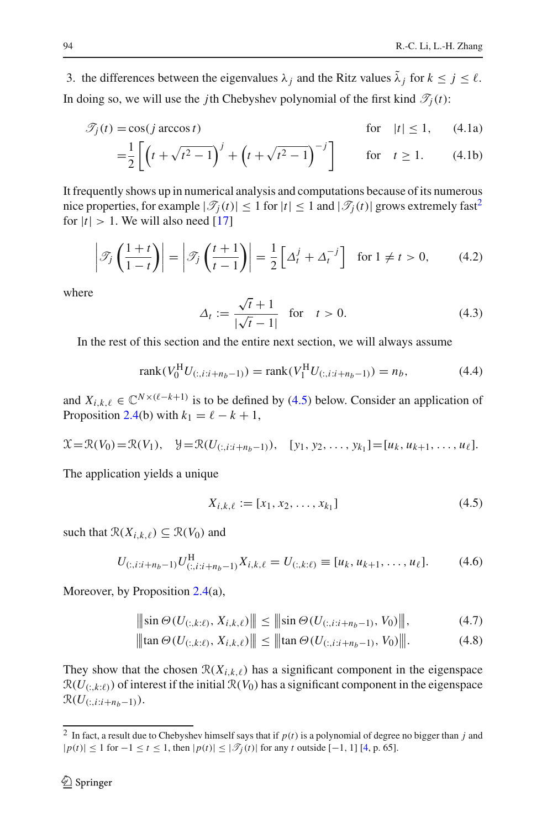3. the differences between the eigenvalues  $\lambda_j$  and the Ritz values  $\tilde{\lambda}_j$  for  $k \leq j \leq \ell$ . In doing so, we will use the *j*th Chebyshev polynomial of the first kind  $\mathcal{T}_i(t)$ :

$$
\mathcal{T}_j(t) = \cos(j \arccos t) \qquad \text{for} \quad |t| \le 1, \qquad (4.1a)
$$

$$
= \frac{1}{2} \left[ \left( t + \sqrt{t^2 - 1} \right)^j + \left( t + \sqrt{t^2 - 1} \right)^{-j} \right] \quad \text{for} \quad t \ge 1. \tag{4.1b}
$$

It frequently shows up in numerical analysis and computations because of its numerous nice properties, for example  $|\mathcal{T}_i(t)| \leq 1$  for  $|t| \leq 1$  and  $|\mathcal{T}_i(t)|$  grows extremely fast<sup>2</sup> for  $|t| > 1$ . We will also need [\[17](#page-30-11)]

$$
\left| \mathcal{T}_j \left( \frac{1+t}{1-t} \right) \right| = \left| \mathcal{T}_j \left( \frac{t+1}{t-1} \right) \right| = \frac{1}{2} \left[ \Delta_t^j + \Delta_t^{-j} \right] \text{ for } 1 \neq t > 0,
$$
 (4.2)

where

$$
\Delta_t := \frac{\sqrt{t} + 1}{|\sqrt{t} - 1|} \quad \text{for} \quad t > 0.
$$
 (4.3)

In the rest of this section and the entire next section, we will always assume

$$
rank(V_0^{\text{H}}U_{(:,i:i+n_b-1)}) = rank(V_1^{\text{H}}U_{(:,i:i+n_b-1)}) = n_b,
$$
\n(4.4)

and  $X_{i,k,\ell} \in \mathbb{C}^{N \times (\ell - k + 1)}$  is to be defined by [\(4.5\)](#page-11-1) below. Consider an application of Proposition [2.4\(](#page-7-2)b) with  $k_1 = \ell - k + 1$ ,

$$
\mathcal{X} = \mathcal{R}(V_0) = \mathcal{R}(V_1), \quad \mathcal{Y} = \mathcal{R}(U_{(:,i:i+n_b-1)}), \quad [y_1, y_2, \ldots, y_{k_1}] = [u_k, u_{k+1}, \ldots, u_{\ell}].
$$

The application yields a unique

$$
X_{i,k,\ell} := [x_1, x_2, \dots, x_{k_1}]
$$
\n(4.5)

<span id="page-11-2"></span>such that  $\mathcal{R}(X_{i,k,\ell}) \subseteq \mathcal{R}(V_0)$  and

<span id="page-11-1"></span>
$$
U_{(:,i:i+n_b-1)} U_{(:,i:i+n_b-1)}^{\mathrm{H}} X_{i,k,\ell} = U_{(:,k:\ell)} \equiv [u_k, u_{k+1}, \dots, u_{\ell}]. \tag{4.6}
$$

Moreover, by Proposition [2.4\(](#page-7-2)a),

$$
\|\sin\Theta(U_{(:,k:\ell)}, X_{i,k,\ell})\| \le \|\sin\Theta(U_{(:,i:i+n_b-1)}, V_0)\|,\tag{4.7}
$$

$$
\|\tan \Theta(U_{(:,k:\ell)}, X_{i,k,\ell})\| \le \|\tan \Theta(U_{(:,i:i+n_b-1)}, V_0)\|.
$$
 (4.8)

They show that the chosen  $\mathcal{R}(X_{i,k,\ell})$  has a significant component in the eigenspace  $\mathcal{R}(U_{(\cdot,k,\ell)})$  of interest if the initial  $\mathcal{R}(V_0)$  has a significant component in the eigenspace  $\mathcal{R}(U_{(:,i:i+n_b-1)}).$ 

<span id="page-11-0"></span><sup>&</sup>lt;sup>2</sup> In fact, a result due to Chebyshev himself says that if  $p(t)$  is a polynomial of degree no bigger than *j* and  $|p(t)|$  ≤ 1 for −1 ≤ *t* ≤ 1, then  $|p(t)|$  ≤  $|\mathcal{T}_i(t)|$  for any *t* outside [−1, 1] [\[4,](#page-29-9) p. 65].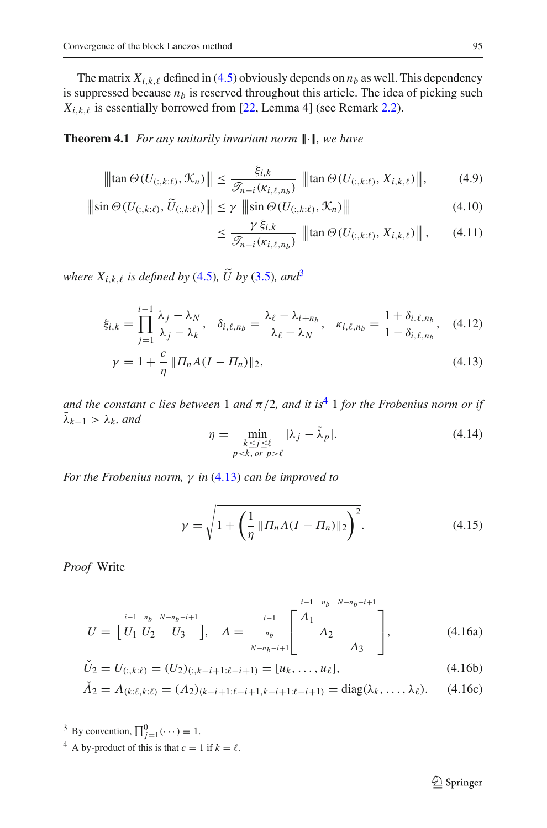The matrix  $X_{i,k,\ell}$  defined in [\(4.5\)](#page-11-1) obviously depends on  $n_b$  as well. This dependency is suppressed because  $n_b$  is reserved throughout this article. The idea of picking such  $X_{i,k,\ell}$  is essentially borrowed from [\[22](#page-30-5), Lemma 4] (see Remark [2.2\)](#page-8-2).

# <span id="page-12-5"></span>**Theorem 4.1** *For any unitarily invariant norm*  $\|\cdot\|$ *, we have*

$$
\|\tan \Theta(U_{(:,k:\ell)}, \mathcal{K}_n)\| \le \frac{\xi_{i,k}}{\mathcal{I}_{n-i}(\kappa_{i,\ell,n_b})} \|\tan \Theta(U_{(:,k:\ell)}, X_{i,k,\ell})\|,\tag{4.9}
$$

$$
\|\sin\Theta(U_{(:,k:\ell)},\widetilde{U}_{(:,k:\ell)})\| \leq \gamma \|\sin\Theta(U_{(:,k:\ell)},\mathcal{K}_n)\|
$$
\n(4.10)

<span id="page-12-7"></span><span id="page-12-4"></span><span id="page-12-3"></span>
$$
\leq \frac{\gamma \xi_{i,k}}{\mathcal{I}_{n-i}(\kappa_{i,\ell,n_b})} \|\|\tan \Theta(U_{(:,k:\ell)}, X_{i,k,\ell})\|\|,\qquad(4.11)
$$

<span id="page-12-2"></span>*where*  $X_{i,k,\ell}$  *is defined by* [\(4.5\)](#page-11-1)*,*  $\widetilde{U}$  *by* [\(3.5\)](#page-10-1)*, and*<sup>[3](#page-12-0)</sup>

$$
\xi_{i,k} = \prod_{j=1}^{i-1} \frac{\lambda_j - \lambda_N}{\lambda_j - \lambda_k}, \quad \delta_{i,\ell,n_b} = \frac{\lambda_\ell - \lambda_{i+n_b}}{\lambda_\ell - \lambda_N}, \quad \kappa_{i,\ell,n_b} = \frac{1 + \delta_{i,\ell,n_b}}{1 - \delta_{i,\ell,n_b}}, \quad (4.12)
$$

$$
\gamma = 1 + \frac{c}{\eta} \| \Pi_n A (I - \Pi_n) \|_2, \tag{4.13}
$$

<span id="page-12-8"></span>*and the constant c lies between* 1 *and*  $\pi/2$ *, and it is*<sup>[4](#page-12-1)</sup> 1 *for the Frobenius norm or if*  $\tilde{\lambda}_{k-1} > \lambda_k$ , and

$$
\eta = \min_{\substack{k \le j \le \ell \\ p < k, \text{ or } p > \ell}} |\lambda_j - \tilde{\lambda}_p|. \tag{4.14}
$$

*For the Frobenius norm,* γ *in* [\(4.13\)](#page-12-2) *can be improved to*

$$
\gamma = \sqrt{1 + \left(\frac{1}{\eta} \left\| \Pi_n A (I - \Pi_n) \right\|_2\right)^2}.
$$
\n(4.15)

<span id="page-12-6"></span>*Proof* Write

$$
U = \begin{bmatrix} i^{-1} & n_b & N-n_b-i+1 \\ U_1 & U_2 & U_3 \end{bmatrix}, \quad A = \begin{bmatrix} i^{-1} & n_b & N-n_b-i+1 \\ n_b & M_2 & \\ N-n_b-i+1 & M_3 & \end{bmatrix}, \quad (4.16a)
$$

$$
\check{U}_2 = U_{(:,k:\ell)} = (U_2)_{(:,k-i+1:\ell-i+1)} = [u_k, \dots, u_\ell],\tag{4.16b}
$$

$$
\check{\Lambda}_2 = \Lambda_{(k:\ell,k:\ell)} = (\Lambda_2)_{(k-i+1:\ell-i+1,k-i+1:\ell-i+1)} = \text{diag}(\lambda_k, \dots, \lambda_\ell). \tag{4.16c}
$$

<sup>3</sup> By convention,  $\prod_{j=1}^{0}$  ( $\cdots$ )  $\equiv$  1.

<span id="page-12-1"></span><span id="page-12-0"></span><sup>4</sup> A by-product of this is that  $c = 1$  if  $k = \ell$ .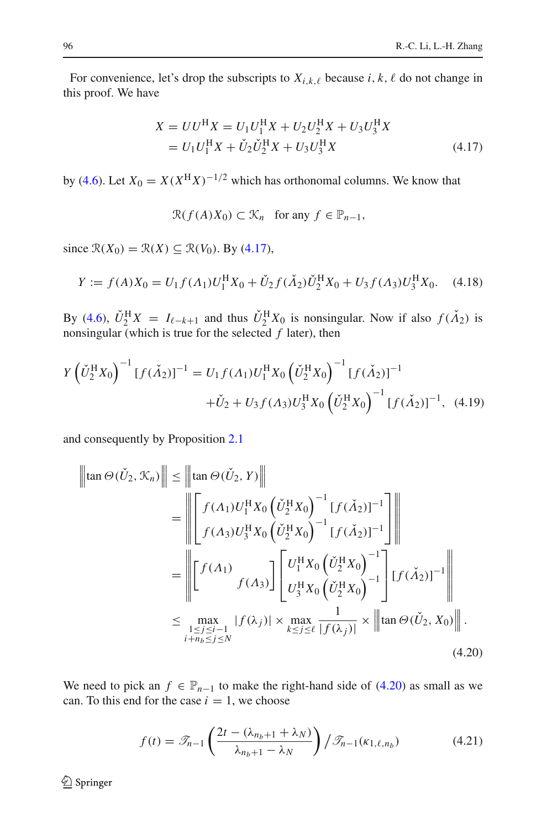<span id="page-13-0"></span>For convenience, let's drop the subscripts to  $X_{i,k,\ell}$  because  $i, k, \ell$  do not change in this proof. We have

$$
X = UU^{H}X = U_{1}U_{1}^{H}X + U_{2}U_{2}^{H}X + U_{3}U_{3}^{H}X
$$
  
=  $U_{1}U_{1}^{H}X + \check{U}_{2}\check{U}_{2}^{H}X + U_{3}U_{3}^{H}X$  (4.17)

by [\(4.6\)](#page-11-2). Let  $X_0 = X(X^H X)^{-1/2}$  which has orthonomal columns. We know that

 $\mathcal{R}(f(A)X_0) \subset \mathcal{K}_n$  for any  $f \in \mathbb{P}_{n-1}$ ,

since  $\mathcal{R}(X_0) = \mathcal{R}(X) \subseteq \mathcal{R}(V_0)$ . By [\(4.17\)](#page-13-0),

$$
Y := f(A)X_0 = U_1 f(A_1)U_1^{\text{H}} X_0 + \check{U}_2 f(\check{A}_2) \check{U}_2^{\text{H}} X_0 + U_3 f(A_3) U_3^{\text{H}} X_0. \tag{4.18}
$$

By [\(4.6\)](#page-11-2),  $\dot{U}_2^{\text{H}}X = I_{\ell-k+1}$  and thus  $\dot{U}_2^{\text{H}}X_0$  is nonsingular. Now if also  $f(\dot{\Lambda}_2)$  is nonsingular (which is true for the selected  $f$  later), then

<span id="page-13-2"></span>
$$
Y\left(\check{U}_{2}^{\text{H}}X_{0}\right)^{-1}[f(\check{\Lambda}_{2})]^{-1} = U_{1}f(\Lambda_{1})U_{1}^{\text{H}}X_{0}\left(\check{U}_{2}^{\text{H}}X_{0}\right)^{-1}[f(\check{\Lambda}_{2})]^{-1} + \check{U}_{2} + U_{3}f(\Lambda_{3})U_{3}^{\text{H}}X_{0}\left(\check{U}_{2}^{\text{H}}X_{0}\right)^{-1}[f(\check{\Lambda}_{2})]^{-1}, \quad (4.19)
$$

and consequently by Proposition [2.1](#page-4-2)

$$
\|\tan \Theta(\check{U}_2, \mathcal{K}_n)\| \leq \|\tan \Theta(\check{U}_2, Y)\|
$$
\n
$$
= \|\left[\begin{aligned}\nf(\Lambda_1)U_1^{\mathrm{H}}X_0\left(\check{U}_2^{\mathrm{H}}X_0\right)^{-1}[f(\check{\Lambda}_2)]^{-1} \\
f(\Lambda_3)U_3^{\mathrm{H}}X_0\left(\check{U}_2^{\mathrm{H}}X_0\right)^{-1}[f(\check{\Lambda}_2)]^{-1}\n\end{aligned}\right]\|
$$
\n
$$
= \|\left[\begin{aligned}\nf(\Lambda_1) \\
f(\Lambda_3)\end{aligned}\right]\left[\begin{aligned}\nU_1^{\mathrm{H}}X_0\left(\check{U}_2^{\mathrm{H}}X_0\right)^{-1} \\
U_3^{\mathrm{H}}X_0\left(\check{U}_2^{\mathrm{H}}X_0\right)^{-1}\n\end{aligned}\right]\left[\begin{aligned}\nf(\check{\Lambda}_2)\right]^{-1}\| \\
[f(\check{\Lambda}_2)\right]^{-1}\| \\
&\leq \max_{\substack{1 \leq j \leq i-1 \\ i+n_b \leq j \leq N}} |f(\lambda_j)| \times \max_{k \leq j \leq \ell} \frac{1}{|f(\lambda_j)|} \times \|\tan \Theta(\check{U}_2, X_0)\|.\n\end{aligned} \tag{4.20}
$$

We need to pick an  $f \in \mathbb{P}_{n-1}$  to make the right-hand side of [\(4.20\)](#page-13-1) as small as we can. To this end for the case  $i = 1$ , we choose

<span id="page-13-1"></span>
$$
f(t) = \mathcal{F}_{n-1}\left(\frac{2t - (\lambda_{n_b+1} + \lambda_N)}{\lambda_{n_b+1} - \lambda_N}\right) / \mathcal{F}_{n-1}(\kappa_{1,\ell,n_b})
$$
(4.21)

<span id="page-13-3"></span><sup>2</sup> Springer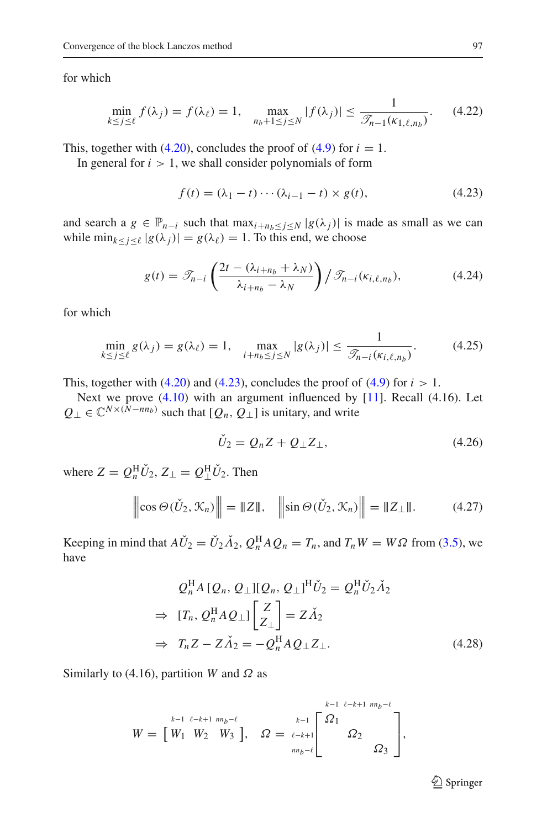<span id="page-14-4"></span>for which

$$
\min_{k \le j \le \ell} f(\lambda_j) = f(\lambda_\ell) = 1, \quad \max_{n_b + 1 \le j \le N} |f(\lambda_j)| \le \frac{1}{\mathcal{I}_{n-1}(\kappa_{1,\ell,n_b})}.
$$
 (4.22)

This, together with  $(4.20)$ , concludes the proof of  $(4.9)$  for  $i = 1$ .

<span id="page-14-0"></span>In general for  $i > 1$ , we shall consider polynomials of form

$$
f(t) = (\lambda_1 - t) \cdots (\lambda_{i-1} - t) \times g(t), \qquad (4.23)
$$

and search a  $g \in \mathbb{P}_{n-i}$  such that  $\max_{i+n_b \leq j \leq N} |g(\lambda_j)|$  is made as small as we can while  $\min_{k \leq j \leq \ell} |g(\lambda_j)| = g(\lambda_\ell) = 1$ . To this end, we choose

$$
g(t) = \mathcal{T}_{n-i} \left( \frac{2t - (\lambda_{i+n_b} + \lambda_N)}{\lambda_{i+n_b} - \lambda_N} \right) / \mathcal{T}_{n-i}(\kappa_{i,\ell,n_b}),
$$
 (4.24)

<span id="page-14-6"></span><span id="page-14-5"></span>for which

$$
\min_{k \le j \le \ell} g(\lambda_j) = g(\lambda_\ell) = 1, \quad \max_{i + n_b \le j \le N} |g(\lambda_j)| \le \frac{1}{\mathcal{I}_{n-i}(\kappa_{i,\ell,n_b})}.
$$
\n(4.25)

This, together with  $(4.20)$  and  $(4.23)$ , concludes the proof of  $(4.9)$  for  $i > 1$ .

Next we prove [\(4.10\)](#page-12-4) with an argument influenced by [\[11\]](#page-29-10). Recall (4.16). Let  $Q_{\perp} \in \mathbb{C}^{N \times (N - nn_b)}$  such that  $[Q_n, Q_{\perp}]$  is unitary, and write

$$
\dot{U}_2 = Q_n Z + Q_\perp Z_\perp,\tag{4.26}
$$

<span id="page-14-3"></span>where  $Z = Q_n^{\rm H} U_2$ ,  $Z_{\perp} = Q_{\perp}^{\rm H} U_2$ . Then

<span id="page-14-2"></span>
$$
\left\| \cos \Theta(\check{U}_2, \mathcal{K}_n) \right\| = \|Z\|, \quad \left\| \sin \Theta(\check{U}_2, \mathcal{K}_n) \right\| = \|Z_\perp\|. \tag{4.27}
$$

Keeping in mind that  $A\check{U}_2 = \check{U}_2 \check{A}_2$ ,  $Q_n^{\text{H}} A Q_n = T_n$ , and  $T_n W = W\Omega$  from [\(3.5\)](#page-10-1), we have

$$
Q_n^{\text{H}} A \left[ Q_n, Q_\perp \right] \left[ Q_n, Q_\perp \right]^{\text{H}} \check{U}_2 = Q_n^{\text{H}} \check{U}_2 \check{\Lambda}_2
$$
\n
$$
\Rightarrow \left[ T_n, Q_n^{\text{H}} A Q_\perp \right] \left[ \begin{matrix} Z \\ Z_\perp \end{matrix} \right] = Z \check{\Lambda}_2
$$
\n
$$
\Rightarrow T_n Z - Z \check{\Lambda}_2 = -Q_n^{\text{H}} A Q_\perp Z_\perp. \tag{4.28}
$$

Similarly to (4.16), partition *W* and  $\Omega$  as

$$
W = \begin{bmatrix} k-1 & \ell-k+1 & m_b - \ell \\ W_1 & W_2 & W_3 \end{bmatrix}, \quad \Omega = \begin{bmatrix} k-1 & \ell-k+1 & m_b - \ell \\ \ell-k+1 & \Omega_2 & \Omega_3 \end{bmatrix},
$$

<span id="page-14-1"></span><sup>2</sup> Springer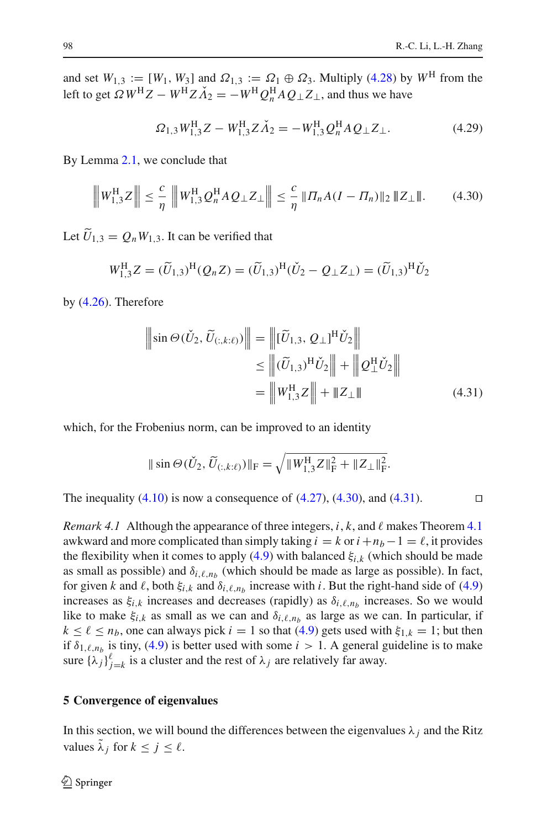and set  $W_{1,3} := [W_1, W_3]$  and  $\Omega_{1,3} := \Omega_1 \oplus \Omega_3$ . Multiply [\(4.28\)](#page-14-1) by  $W^H$  from the left to get  $\Omega W^{\text{H}}Z - W^{\text{H}}Z\check{\Lambda}_2 = -W^{\text{H}}Q_n^{\text{H}}AQ_\perp Z_\perp$ , and thus we have

$$
\Omega_{1,3}W_{1,3}^{\rm H}Z - W_{1,3}^{\rm H}Z\check{\Lambda}_2 = -W_{1,3}^{\rm H}Q_n^{\rm H}AQ_\perp Z_\perp.
$$
\n(4.29)

<span id="page-15-1"></span>By Lemma [2.1,](#page-3-1) we conclude that

$$
\left\| W_{1,3}^{\rm H} Z \right\| \leq \frac{c}{\eta} \left\| W_{1,3}^{\rm H} Q_n^{\rm H} A Q_\perp Z_\perp \right\| \leq \frac{c}{\eta} \left\| \Pi_n A (I - \Pi_n) \right\|_2 \left\| Z_\perp \right\|. \tag{4.30}
$$

Let  $U_{1,3} = Q_n W_{1,3}$ . It can be verified that

$$
W_{1,3}^{\rm H}Z = (\widetilde{U}_{1,3})^{\rm H}(Q_n Z) = (\widetilde{U}_{1,3})^{\rm H}(\check{U}_2 - Q_{\perp} Z_{\perp}) = (\widetilde{U}_{1,3})^{\rm H}\check{U}_2
$$

by [\(4.26\)](#page-14-2). Therefore

$$
\|\sin \Theta(\check{U}_2, \widetilde{U}_{(:,k:\ell)})\| = \|[\widetilde{U}_{1,3}, Q_\perp]^H \check{U}_2\| \le \|(\widetilde{U}_{1,3})^H \check{U}_2\| + \|Q_\perp^H \check{U}_2\| = \|W_{1,3}^H Z\| + \|Z_\perp\|
$$
\n(4.31)

which, for the Frobenius norm, can be improved to an identity

<span id="page-15-2"></span>
$$
\|\sin\Theta(\check{U}_2, \widetilde{U}_{(:,k:\ell)})\|_{\mathrm{F}} = \sqrt{\|W_{1,3}^{\mathrm{H}}Z\|_{\mathrm{F}}^2 + \|Z_{\perp}\|_{\mathrm{F}}^2}.
$$

The inequality  $(4.10)$  is now a consequence of  $(4.27)$ ,  $(4.30)$ , and  $(4.31)$ .

<span id="page-15-4"></span>*Remark [4.1](#page-12-5)* Although the appearance of three integers, *i*, *k*, and  $\ell$  makes Theorem 4.1 awkward and more complicated than simply taking  $i = k$  or  $i + n_b - 1 = \ell$ , it provides the flexibility when it comes to apply [\(4.9\)](#page-12-3) with balanced  $\xi_{i,k}$  (which should be made as small as possible) and  $\delta_{i,\ell,n_b}$  (which should be made as large as possible). In fact, for given *k* and  $\ell$ , both  $\xi_{i,k}$  and  $\delta_{i,\ell,n_b}$  increase with *i*. But the right-hand side of [\(4.9\)](#page-12-3) increases as  $\xi_{i,k}$  increases and decreases (rapidly) as  $\delta_{i,\ell,n_b}$  increases. So we would like to make  $\xi_{i,k}$  as small as we can and  $\delta_{i,\ell,n_b}$  as large as we can. In particular, if  $k \leq \ell \leq n_b$ , one can always pick  $i = 1$  so that [\(4.9\)](#page-12-3) gets used with  $\xi_{1,k} = 1$ ; but then if  $\delta_{1,\ell,n_b}$  is tiny, [\(4.9\)](#page-12-3) is better used with some  $i > 1$ . A general guideline is to make sure  $\{\lambda_j\}_{j=k}^{\ell}$  is a cluster and the rest of  $\lambda_j$  are relatively far away.

#### <span id="page-15-0"></span>**5 Convergence of eigenvalues**

<span id="page-15-3"></span>In this section, we will bound the differences between the eigenvalues  $\lambda_i$  and the Ritz values  $\tilde{\lambda}_j$  for  $k \leq j \leq \ell$ .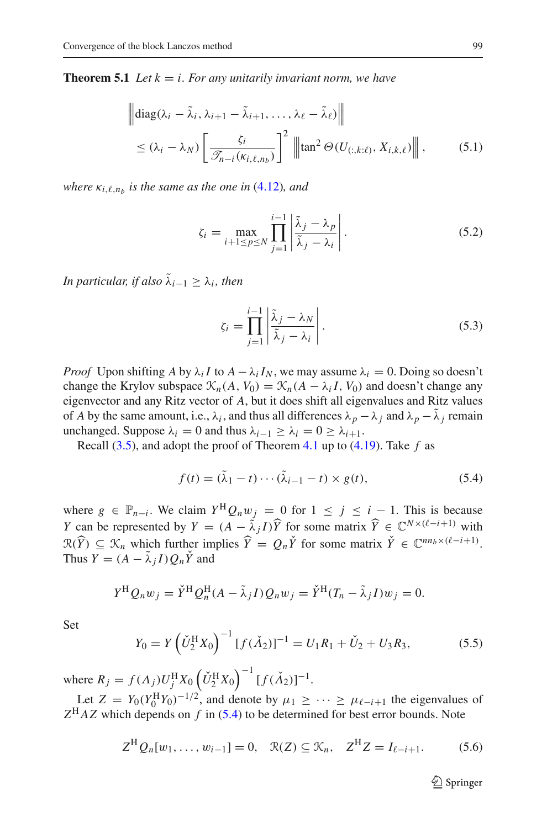<span id="page-16-1"></span>**Theorem 5.1** *Let*  $k = i$ *. For any unitarily invariant norm, we have* 

$$
\|\text{diag}(\lambda_i - \tilde{\lambda}_i, \lambda_{i+1} - \tilde{\lambda}_{i+1}, \dots, \lambda_\ell - \tilde{\lambda}_\ell)\|
$$
  

$$
\leq (\lambda_i - \lambda_N) \left[\frac{\zeta_i}{\mathcal{F}_{n-i}(\kappa_{i,\ell,n_b})}\right]^2 \|\text{tan}^2 \Theta(U_{(:,k:\ell)}, X_{i,k,\ell})\|,
$$
 (5.1)

*where*  $\kappa_{i,\ell,n_b}$  *is the same as the one in* [\(4.12\)](#page-12-2)*, and* 

$$
\zeta_i = \max_{i+1 \le p \le N} \prod_{j=1}^{i-1} \left| \frac{\tilde{\lambda}_j - \lambda_p}{\tilde{\lambda}_j - \lambda_i} \right|.
$$
\n(5.2)

*In particular, if also*  $\tilde{\lambda}_{i-1} \geq \lambda_i$ *, then* 

$$
\zeta_i = \prod_{j=1}^{i-1} \left| \frac{\tilde{\lambda}_j - \lambda_N}{\tilde{\lambda}_j - \lambda_i} \right|.
$$
\n(5.3)

*Proof* Upon shifting *A* by  $\lambda_i I$  to  $A - \lambda_i I_N$ , we may assume  $\lambda_i = 0$ . Doing so doesn't change the Krylov subspace  $\mathcal{K}_n(A, V_0) = \mathcal{K}_n(A - \lambda_i I, V_0)$  and doesn't change any eigenvector and any Ritz vector of *A*, but it does shift all eigenvalues and Ritz values of *A* by the same amount, i.e.,  $\lambda_i$ , and thus all differences  $\lambda_p - \lambda_j$  and  $\lambda_p - \lambda_j$  remain unchanged. Suppose  $\lambda_i = 0$  and thus  $\lambda_{i-1} \geq \lambda_i = 0 \geq \lambda_{i+1}$ .

<span id="page-16-0"></span>Recall [\(3.5\)](#page-10-1), and adopt the proof of Theorem [4.1](#page-12-5) up to [\(4.19\)](#page-13-2). Take *f* as

$$
f(t) = (\tilde{\lambda}_1 - t) \cdots (\tilde{\lambda}_{i-1} - t) \times g(t),
$$
\n(5.4)

where  $g \in \mathbb{P}_{n-i}$ . We claim  $Y^H Q_n w_j = 0$  for  $1 \leq j \leq i - 1$ . This is because *Y* can be represented by  $Y = (A - \tilde{\lambda}_j I) \hat{Y}$  for some matrix  $\hat{Y} \in \mathbb{C}^{N \times (\ell - j + 1)}$  with  $\mathcal{R}(\widehat{Y}) \subseteq \mathcal{K}_n$  which further implies  $\widehat{Y} = Q_n \widecheck{Y}$  for some matrix  $\widecheck{Y} \in \mathbb{C}^{nn_b \times (\ell - i + 1)}$ . Thus  $Y = (A - \lambda_i I) Q_n Y$  and

$$
Y^{H} Q_{n} w_{j} = \check{Y}^{H} Q_{n}^{H} (A - \tilde{\lambda}_{j} I) Q_{n} w_{j} = \check{Y}^{H} (T_{n} - \tilde{\lambda}_{j} I) w_{j} = 0.
$$

Set

$$
Y_0 = Y \left( \check{U}_2^{\text{H}} X_0 \right)^{-1} \left[ f(\check{\Lambda}_2) \right]^{-1} = U_1 R_1 + \check{U}_2 + U_3 R_3,\tag{5.5}
$$

where  $R_j = f(\Lambda_j)U_j^{\text{H}} X_0 \left(\check{U}_2^{\text{H}} X_0\right)^{-1} [f(\check{\Lambda}_2)]^{-1}$ .

<span id="page-16-2"></span>Let  $Z = Y_0 (Y_0^H Y_0)^{-1/2}$ , and denote by  $\mu_1 \geq \cdots \geq \mu_{\ell-i+1}$  the eigenvalues of  $Z<sup>H</sup>AZ$  which depends on *f* in [\(5.4\)](#page-16-0) to be determined for best error bounds. Note

$$
Z^{H} Q_{n}[w_{1},..., w_{i-1}] = 0, \quad \mathfrak{R}(Z) \subseteq \mathfrak{K}_{n}, \quad Z^{H} Z = I_{\ell-i+1}.
$$
 (5.6)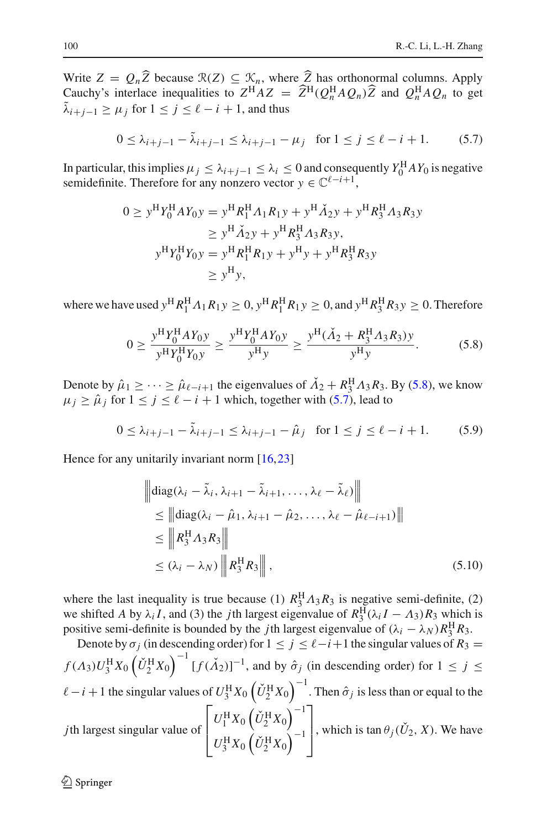Write  $Z = Q_n Z$  because  $\mathcal{R}(Z) \subseteq \mathcal{K}_n$ , where *Z* has orthonormal columns. Apply  $G_{\text{sub}}$  is a set  $G_{\text{sub}}$  is a set  $G_{\text{sub}}$  is a set  $G_{\text{sub}}$  is a set  $G_{\text{sub}}$  is a set  $G_{\text{sub}}$  is a set  $G_{\text{sub}}$  is a set  $G_{\$ Cauchy's interlace inequalities to  $Z^H A Z = \hat{Z}^H (Q_n^H A Q_n) \hat{Z}$  and  $Q_n^H A Q_n$  to get  $\tilde{\lambda}_{i+j-1} > \mu_j$  for  $1 \le j \le \ell - i + 1$ , and thus

$$
0 \le \lambda_{i+j-1} - \tilde{\lambda}_{i+j-1} \le \lambda_{i+j-1} - \mu_j \quad \text{for } 1 \le j \le \ell - i + 1. \tag{5.7}
$$

<span id="page-17-1"></span>In particular, this implies  $\mu_j \leq \lambda_{i+j-1} \leq \lambda_i \leq 0$  and consequently  $Y_0^H A Y_0$  is negative semidefinite. Therefore for any nonzero vector  $y \in \mathbb{C}^{\ell-i+1}$ ,

$$
0 \ge y^H Y_0^H A Y_0 y = y^H R_1^H A_1 R_1 y + y^H \tilde{A}_2 y + y^H R_3^H A_3 R_3 y
$$
  
\n
$$
\ge y^H \tilde{A}_2 y + y^H R_3^H A_3 R_3 y,
$$
  
\n
$$
y^H Y_0^H Y_0 y = y^H R_1^H R_1 y + y^H y + y^H R_3^H R_3 y
$$
  
\n
$$
\ge y^H y,
$$

where we have used  $y^H R_1^H A_1 R_1 y \ge 0$ ,  $y^H R_1^H R_1 y \ge 0$ , and  $y^H R_3^H R_3 y \ge 0$ . Therefore

$$
0 \ge \frac{y^{\mathrm{H}} Y_0^{\mathrm{H}} A Y_0 y}{y^{\mathrm{H}} Y_0^{\mathrm{H}} Y_0 y} \ge \frac{y^{\mathrm{H}} Y_0^{\mathrm{H}} A Y_0 y}{y^{\mathrm{H}} y} \ge \frac{y^{\mathrm{H}} (\check{A}_2 + R_3^{\mathrm{H}} A_3 R_3) y}{y^{\mathrm{H}} y}.
$$
(5.8)

<span id="page-17-0"></span>Denote by  $\hat{\mu}_1 \geq \cdots \geq \hat{\mu}_{\ell-i+1}$  the eigenvalues of  $\check{A}_2 + R_3^{\text{H}} A_3 R_3$ . By [\(5.8\)](#page-17-0), we know  $\mu_j \geq \hat{\mu}_j$  for  $1 \leq j \leq \ell - i + 1$  which, together with [\(5.7\)](#page-17-1), lead to

$$
0 \le \lambda_{i+j-1} - \tilde{\lambda}_{i+j-1} \le \lambda_{i+j-1} - \hat{\mu}_j \quad \text{for } 1 \le j \le \ell - i + 1. \tag{5.9}
$$

Hence for any unitarily invariant norm [\[16](#page-30-12)[,23](#page-30-9)]

<span id="page-17-2"></span>
$$
\begin{aligned}\n\left\| \text{diag}(\lambda_i - \tilde{\lambda}_i, \lambda_{i+1} - \tilde{\lambda}_{i+1}, \dots, \lambda_\ell - \tilde{\lambda}_\ell) \right\| \\
&\leq \left\| \text{diag}(\lambda_i - \hat{\mu}_1, \lambda_{i+1} - \hat{\mu}_2, \dots, \lambda_\ell - \hat{\mu}_{\ell-i+1}) \right\| \\
&\leq \left\| R_3^{\text{H}} A_3 R_3 \right\| \\
&\leq (\lambda_i - \lambda_N) \left\| R_3^{\text{H}} R_3 \right\|,\n\end{aligned} \tag{5.10}
$$

where the last inequality is true because (1)  $R_3^{\text{H}}\Lambda_3 R_3$  is negative semi-definite, (2) we shifted *A* by  $\lambda_i I$ , and (3) the *j*th largest eigenvalue of  $R_3^H(\lambda_i I - A_3)R_3$  which is positive semi-definite is bounded by the *j*th largest eigenvalue of  $(\lambda_i - \lambda_N)R_3^{\text{H}}R_3$ .

Denote by  $\sigma_j$  (in descending order) for  $1 \le j \le \ell - i + 1$  the singular values of  $R_3 =$  $f(A_3)U_3^{\text{H}}X_0(\check{U}_2^{\text{H}}X_0)^{-1}[f(\check{A}_2)]^{-1}$ , and by  $\hat{\sigma}_j$  (in descending order) for  $1 \le j \le n$  $\ell-i+1$  the singular values of  $U^{\rm H}_3X_0\left(\check{U}^{\rm H}_2X_0\right)^{-1}$ . Then  $\hat{\sigma}_j$  is less than or equal to the *j*th largest singular value of  $\Gamma$  $\vert$  $U_1^{\rm H} X_0 \left(\check{U}_2^{\rm H} X_0\right)^{-1}$  $U_3^{\rm H} X_0 (\check{U}_2^{\rm H} X_0)^{-1}$ ⎤ , which is  $\tan \theta_j(U_2, X)$ . We have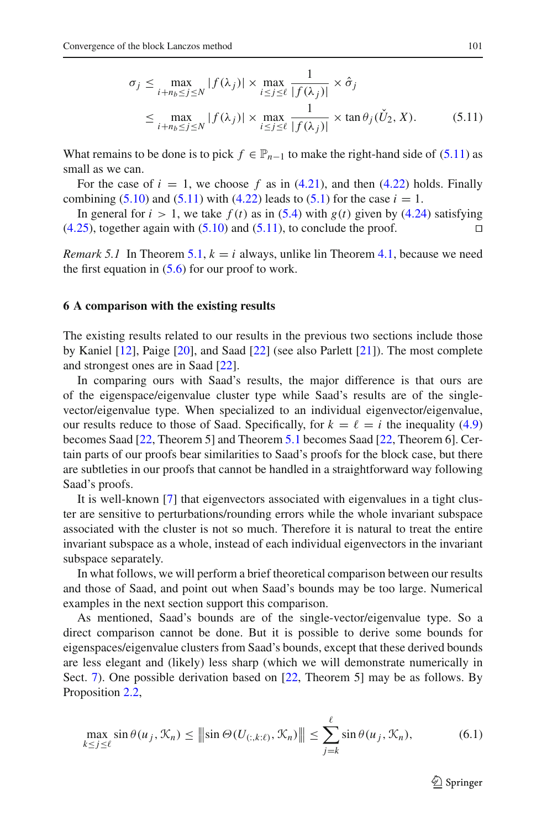<span id="page-18-1"></span>
$$
\sigma_j \le \max_{i+n_b \le j \le N} |f(\lambda_j)| \times \max_{i \le j \le \ell} \frac{1}{|f(\lambda_j)|} \times \hat{\sigma}_j
$$
  

$$
\le \max_{i+n_b \le j \le N} |f(\lambda_j)| \times \max_{i \le j \le \ell} \frac{1}{|f(\lambda_j)|} \times \tan \theta_j(\check{U}_2, X). \tag{5.11}
$$

What remains to be done is to pick  $f \in \mathbb{P}_{n-1}$  to make the right-hand side of [\(5.11\)](#page-18-1) as small as we can.

For the case of  $i = 1$ , we choose f as in  $(4.21)$ , and then  $(4.22)$  holds. Finally combining [\(5.10\)](#page-17-2) and [\(5.11\)](#page-18-1) with [\(4.22\)](#page-14-4) leads to [\(5.1\)](#page-16-1) for the case  $i = 1$ .

In general for  $i > 1$ , we take  $f(t)$  as in [\(5.4\)](#page-16-0) with  $g(t)$  given by [\(4.24\)](#page-14-5) satisfying  $(4.25)$ , together again with  $(5.10)$  and  $(5.11)$ , to conclude the proof.

*Remark 5.1* In Theorem [5.1,](#page-15-3)  $k = i$  always, unlike lin Theorem [4.1,](#page-12-5) because we need the first equation in  $(5.6)$  for our proof to work.

#### <span id="page-18-0"></span>**6 A comparison with the existing results**

The existing results related to our results in the previous two sections include those by Kaniel [\[12](#page-30-3)], Paige [\[20\]](#page-30-4), and Saad [\[22\]](#page-30-5) (see also Parlett [\[21](#page-30-1)]). The most complete and strongest ones are in Saad [\[22\]](#page-30-5).

In comparing ours with Saad's results, the major difference is that ours are of the eigenspace/eigenvalue cluster type while Saad's results are of the singlevector/eigenvalue type. When specialized to an individual eigenvector/eigenvalue, our results reduce to those of Saad. Specifically, for  $k = \ell = i$  the inequality [\(4.9\)](#page-12-3) becomes Saad [\[22](#page-30-5), Theorem 5] and Theorem [5.1](#page-15-3) becomes Saad [\[22](#page-30-5), Theorem 6]. Certain parts of our proofs bear similarities to Saad's proofs for the block case, but there are subtleties in our proofs that cannot be handled in a straightforward way following Saad's proofs.

It is well-known [\[7](#page-29-6)] that eigenvectors associated with eigenvalues in a tight cluster are sensitive to perturbations/rounding errors while the whole invariant subspace associated with the cluster is not so much. Therefore it is natural to treat the entire invariant subspace as a whole, instead of each individual eigenvectors in the invariant subspace separately.

In what follows, we will perform a brief theoretical comparison between our results and those of Saad, and point out when Saad's bounds may be too large. Numerical examples in the next section support this comparison.

As mentioned, Saad's bounds are of the single-vector/eigenvalue type. So a direct comparison cannot be done. But it is possible to derive some bounds for eigenspaces/eigenvalue clusters from Saad's bounds, except that these derived bounds are less elegant and (likely) less sharp (which we will demonstrate numerically in Sect. [7\)](#page-20-0). One possible derivation based on [\[22](#page-30-5), Theorem 5] may be as follows. By Proposition [2.2,](#page-5-1)

$$
\max_{k \le j \le \ell} \sin \theta(u_j, \mathcal{K}_n) \le ||\sin \Theta(U_{(:,k:\ell)}, \mathcal{K}_n)|| \le \sum_{j=k}^{\ell} \sin \theta(u_j, \mathcal{K}_n),
$$
\n(6.1)

<span id="page-18-2"></span> $\mathcal{L}$  Springer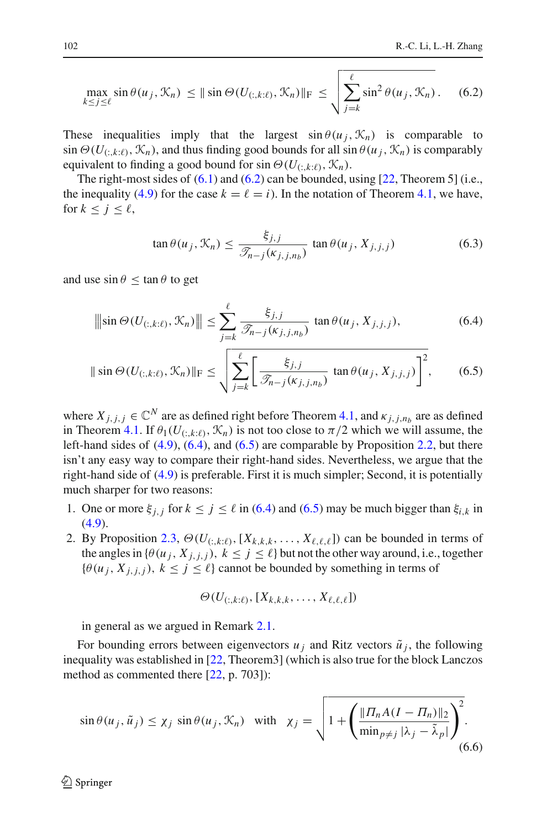$$
\max_{k \le j \le \ell} \sin \theta(u_j, \mathcal{K}_n) \le ||\sin \Theta(U_{(:,k:\ell)}, \mathcal{K}_n)||_F \le \sqrt{\sum_{j=k}^{\ell} \sin^2 \theta(u_j, \mathcal{K}_n)}.
$$
 (6.2)

These inequalities imply that the largest  $\sin \theta (u_i, \mathcal{K}_n)$  is comparable to  $\sin \Theta(U_{(:,k:\ell)}, \mathcal{K}_n)$ , and thus finding good bounds for all  $\sin \theta(u_i, \mathcal{K}_n)$  is comparably equivalent to finding a good bound for sin  $\Theta(U_{(:,k:\ell)}, \mathcal{K}_n)$ .

The right-most sides of  $(6.1)$  and  $(6.2)$  can be bounded, using  $[22,$  $[22,$  Theorem 5] (i.e., the inequality [\(4.9\)](#page-12-3) for the case  $k = \ell = i$ ). In the notation of Theorem [4.1,](#page-12-5) we have, for  $k \leq j \leq \ell$ ,

<span id="page-19-2"></span><span id="page-19-1"></span><span id="page-19-0"></span>
$$
\tan \theta(u_j, \mathcal{K}_n) \le \frac{\xi_{j,j}}{\mathcal{F}_{n-j}(\kappa_{j,j,n_b})} \tan \theta(u_j, X_{j,j,j}) \tag{6.3}
$$

<span id="page-19-3"></span>and use  $\sin \theta \leq \tan \theta$  to get

$$
\|\sin\Theta(U_{(:,k:\ell)}, \mathcal{K}_n)\| \le \sum_{j=k}^{\ell} \frac{\xi_{j,j}}{\mathcal{T}_{n-j}(\kappa_{j,j,n_b})} \tan\theta(u_j, X_{j,j,j}), \tag{6.4}
$$

$$
\|\sin\Theta(U_{(:,k:\ell)},\mathcal{K}_n)\|_{\mathrm{F}} \leq \sqrt{\sum_{j=k}^{\ell} \left[\frac{\xi_{j,j}}{\mathcal{F}_{n-j}(\kappa_{j,j,n_b})} \tan\theta(u_j,X_{j,j,j})\right]^2},\qquad(6.5)
$$

where  $X_{i,j,j} \in \mathbb{C}^N$  are as defined right before Theorem [4.1,](#page-12-5) and  $\kappa_{j,j,n_b}$  are as defined in Theorem [4.1.](#page-12-5) If  $\theta_1(U_{(:,k:\ell)}, \mathcal{K}_n)$  is not too close to  $\pi/2$  which we will assume, the left-hand sides of [\(4.9\)](#page-12-3), [\(6.4\)](#page-19-1), and [\(6.5\)](#page-19-2) are comparable by Proposition [2.2,](#page-5-1) but there isn't any easy way to compare their right-hand sides. Nevertheless, we argue that the right-hand side of [\(4.9\)](#page-12-3) is preferable. First it is much simpler; Second, it is potentially much sharper for two reasons:

- 1. One or more  $\xi_{j,j}$  for  $k \leq j \leq \ell$  in [\(6.4\)](#page-19-1) and [\(6.5\)](#page-19-2) may be much bigger than  $\xi_{i,k}$  in [\(4.9\)](#page-12-3).
- 2. By Proposition [2.3,](#page-6-1)  $\Theta(U_{(:,k:\ell)},[X_{k,k,k},\ldots,X_{\ell,\ell,\ell}])$  can be bounded in terms of the angles in  $\{\theta(u_j, X_{j,j,j}), k \leq j \leq \ell\}$  but not the other way around, i.e., together  $\{\theta(u_j, X_{j,j,j}), k \leq j \leq \ell\}$  cannot be bounded by something in terms of

$$
\Theta(U_{(:,k:\ell)},[X_{k,k,k},\ldots,X_{\ell,\ell,\ell}])
$$

in general as we argued in Remark [2.1.](#page-7-3)

For bounding errors between eigenvectors  $u_j$  and Ritz vectors  $\tilde{u}_j$ , the following inequality was established in [\[22,](#page-30-5) Theorem3] (which is also true for the block Lanczos method as commented there [\[22,](#page-30-5) p. 703]):

<span id="page-19-4"></span>
$$
\sin \theta(u_j, \tilde{u}_j) \le \chi_j \, \sin \theta(u_j, \mathcal{K}_n) \quad \text{with} \quad \chi_j = \sqrt{1 + \left( \frac{\| \Pi_n A (I - \Pi_n) \|_2}{\min_{p \neq j} |\lambda_j - \tilde{\lambda}_p|} \right)^2}.
$$
\n
$$
(6.6)
$$

 $\circled{2}$  Springer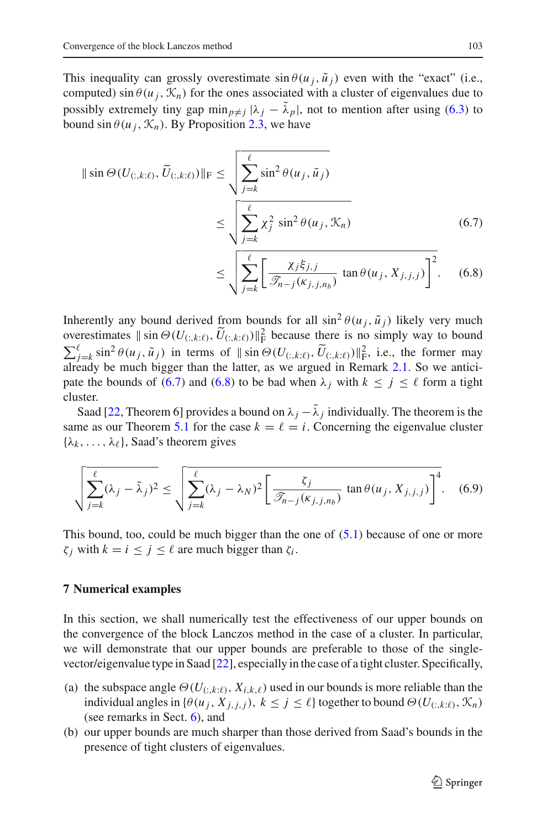This inequality can grossly overestimate  $\sin \theta (u_i, \tilde{u}_i)$  even with the "exact" (i.e., computed) sin  $\theta(u_i, \mathcal{K}_n)$  for the ones associated with a cluster of eigenvalues due to possibly extremely tiny gap  $\min_{p \neq j} |\lambda_j - \lambda_p|$ , not to mention after using [\(6.3\)](#page-19-3) to bound  $\sin \theta (u_i, \mathcal{K}_n)$ . By Proposition [2.3,](#page-6-1) we have

$$
\|\sin\Theta(U_{(:,k:\ell)}, \widetilde{U}_{(:,k:\ell)})\|_{\mathrm{F}} \le \sqrt{\sum_{j=k}^{\ell} \sin^2\theta(u_j, \widetilde{u}_j)}
$$
  

$$
\le \sqrt{\sum_{j=k}^{\ell} \chi_j^2 \sin^2\theta(u_j, \mathcal{K}_n)}
$$
(6.7)

<span id="page-20-2"></span><span id="page-20-1"></span>
$$
\leq \sqrt{\sum_{j=k}^{\ell} \left[ \frac{\chi_j \xi_{j,j}}{\mathcal{F}_{n-j}(\kappa_{j,j,n_b})} \tan \theta(u_j, X_{j,j,j}) \right]^2}.
$$
 (6.8)

Inherently any bound derived from bounds for all  $\sin^2 \theta(u_i, \tilde{u}_i)$  likely very much overestimates  $\|\sin \Theta(U_{(:,k:\ell)}, \overline{U}_{(:,k:\ell)})\|_{\text{F}}^2$  because there is no simply way to bound  $\sum_{j=1}^{\ell} \sum_{k=1}^{\ell} \sin^2 \theta(u_j, \tilde{u}_j)$  in terms of  $||\sin \Theta(U_{(:,k:\ell)}, \tilde{U}_{(:,k:\ell)})||_F^2$ , i.e., the former may already be much bigger than the latter, as we argued in Remark [2.1.](#page-7-3) So we antici-pate the bounds of [\(6.7\)](#page-20-1) and [\(6.8\)](#page-20-2) to be bad when  $\lambda_j$  with  $k \leq j \leq \ell$  form a tight cluster.

Saad [\[22,](#page-30-5) Theorem 6] provides a bound on  $\lambda_i - \lambda_j$  individually. The theorem is the same as our Theorem [5.1](#page-15-3) for the case  $k = \ell = i$ . Concerning the eigenvalue cluster  $\{\lambda_k, \ldots, \lambda_\ell\}$ , Saad's theorem gives

$$
\sqrt{\sum_{j=k}^{\ell} (\lambda_j - \tilde{\lambda}_j)^2} \le \sqrt{\sum_{j=k}^{\ell} (\lambda_j - \lambda_N)^2 \left[ \frac{\zeta_j}{\mathcal{F}_{n-j}(\kappa_{j,j,n_b})} \tan \theta(u_j, X_{j,j,j}) \right]^4}.
$$
 (6.9)

<span id="page-20-3"></span>This bound, too, could be much bigger than the one of  $(5.1)$  because of one or more  $\zeta_i$  with  $k = i \leq j \leq \ell$  are much bigger than  $\zeta_i$ .

## <span id="page-20-0"></span>**7 Numerical examples**

In this section, we shall numerically test the effectiveness of our upper bounds on the convergence of the block Lanczos method in the case of a cluster. In particular, we will demonstrate that our upper bounds are preferable to those of the singlevector/eigenvalue type in Saad [\[22](#page-30-5)], especially in the case of a tight cluster. Specifically,

- (a) the subspace angle  $\Theta(U_{(:,k:\ell)}, X_{i,k,\ell})$  used in our bounds is more reliable than the individual angles in  $\{\theta(u_j, X_{j,j,j}), k \leq j \leq \ell\}$  together to bound  $\Theta(U_{(:,k:\ell)}, \mathcal{K}_n)$ (see remarks in Sect. [6\)](#page-18-0), and
- (b) our upper bounds are much sharper than those derived from Saad's bounds in the presence of tight clusters of eigenvalues.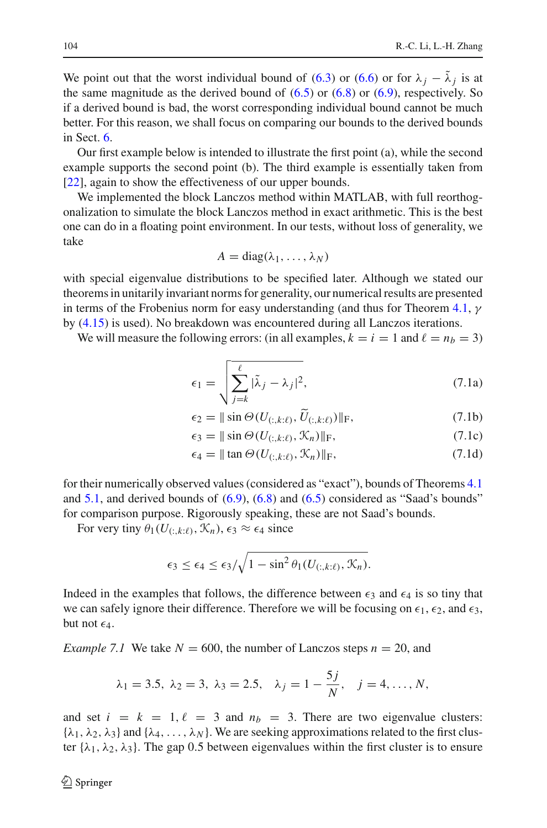We point out that the worst individual bound of [\(6.3\)](#page-19-3) or [\(6.6\)](#page-19-4) or for  $\lambda_i - \tilde{\lambda}_i$  is at the same magnitude as the derived bound of  $(6.5)$  or  $(6.8)$  or  $(6.9)$ , respectively. So if a derived bound is bad, the worst corresponding individual bound cannot be much better. For this reason, we shall focus on comparing our bounds to the derived bounds in Sect. [6.](#page-18-0)

Our first example below is intended to illustrate the first point (a), while the second example supports the second point (b). The third example is essentially taken from [\[22](#page-30-5)], again to show the effectiveness of our upper bounds.

We implemented the block Lanczos method within MATLAB, with full reorthogonalization to simulate the block Lanczos method in exact arithmetic. This is the best one can do in a floating point environment. In our tests, without loss of generality, we take

$$
A = \text{diag}(\lambda_1, \ldots, \lambda_N)
$$

with special eigenvalue distributions to be specified later. Although we stated our theorems in unitarily invariant norms for generality, our numerical results are presented in terms of the Frobenius norm for easy understanding (and thus for Theorem [4.1,](#page-12-5)  $\gamma$ by [\(4.15\)](#page-12-6) is used). No breakdown was encountered during all Lanczos iterations.

We will measure the following errors: (in all examples,  $k = i = 1$  and  $\ell = n_b = 3$ )

$$
\epsilon_1 = \sqrt{\sum_{j=k}^{\ell} |\tilde{\lambda}_j - \lambda_j|^2},\tag{7.1a}
$$

<span id="page-21-1"></span>
$$
\epsilon_2 = \|\sin\Theta(U_{(:,k:\ell)}, \tilde{U}_{(:,k:\ell)})\|_{\mathrm{F}},\tag{7.1b}
$$

$$
\epsilon_3 = \|\sin\Theta(U_{(:,k:\ell)}, \mathcal{K}_n)\|_{\mathrm{F}},\tag{7.1c}
$$

$$
\epsilon_4 = \|\tan \Theta(U_{(:,k:\ell)}, \mathcal{K}_n)\|_{\mathrm{F}},\tag{7.1d}
$$

for their numerically observed values (considered as "exact"), bounds of Theorems [4.1](#page-12-5) and  $5.1$ , and derived bounds of  $(6.9)$ ,  $(6.8)$  and  $(6.5)$  considered as "Saad's bounds" for comparison purpose. Rigorously speaking, these are not Saad's bounds.

For very tiny  $\theta_1(U_{(\cdot,k:\ell)}, \mathcal{K}_n), \epsilon_3 \approx \epsilon_4$  since

$$
\epsilon_3 \leq \epsilon_4 \leq \epsilon_3/\sqrt{1-\sin^2\theta_1(U_{(:,k:\ell)},\mathcal{K}_n)}.
$$

Indeed in the examples that follows, the difference between  $\epsilon_3$  and  $\epsilon_4$  is so tiny that we can safely ignore their difference. Therefore we will be focusing on  $\epsilon_1$ ,  $\epsilon_2$ , and  $\epsilon_3$ , but not  $\epsilon_4$ .

<span id="page-21-0"></span>*Example 7.1* We take  $N = 600$ , the number of Lanczos steps  $n = 20$ , and

$$
\lambda_1 = 3.5, \ \lambda_2 = 3, \ \lambda_3 = 2.5, \quad \lambda_j = 1 - \frac{5j}{N}, \quad j = 4, \dots, N,
$$

and set  $i = k = 1, \ell = 3$  and  $n_b = 3$ . There are two eigenvalue clusters:  $\{\lambda_1, \lambda_2, \lambda_3\}$  and  $\{\lambda_4, \ldots, \lambda_N\}$ . We are seeking approximations related to the first cluster  $\{\lambda_1, \lambda_2, \lambda_3\}$ . The gap 0.5 between eigenvalues within the first cluster is to ensure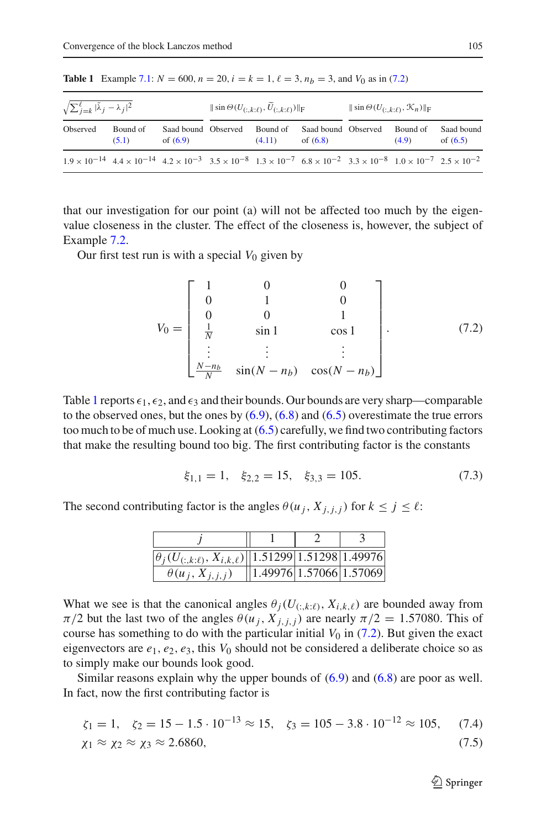| $\sqrt{\sum_{j=k}^{\ell}  \tilde{\lambda}_j - \lambda_j ^2}$ |                                                                                                                                                                                                | $\ \sin\Theta(U_{(\cdot,k:\ell)},U_{(\cdot,k:\ell)})\ _{\mathcal{F}}$ |  |                    | $\ \sin\Theta(U_{(\cdot,k:\ell)},\mathcal{K}_n)\ _{\mathcal{F}}$ |  |                   |                          |
|--------------------------------------------------------------|------------------------------------------------------------------------------------------------------------------------------------------------------------------------------------------------|-----------------------------------------------------------------------|--|--------------------|------------------------------------------------------------------|--|-------------------|--------------------------|
| Observed                                                     | Bound of<br>(5.1)                                                                                                                                                                              | Saad bound Observed<br>of $(6.9)$                                     |  | Bound of<br>(4.11) | Saad bound Observed<br>of $(6.8)$                                |  | Bound of<br>(4.9) | Saad bound<br>of $(6.5)$ |
|                                                              | $1.9 \times 10^{-14}$ $4.4 \times 10^{-14}$ $4.2 \times 10^{-3}$ $3.5 \times 10^{-8}$ $1.3 \times 10^{-7}$ $6.8 \times 10^{-2}$ $3.3 \times 10^{-8}$ $1.0 \times 10^{-7}$ $2.5 \times 10^{-2}$ |                                                                       |  |                    |                                                                  |  |                   |                          |

<span id="page-22-1"></span>**Table 1** Example [7.1:](#page-21-0)  $N = 600$ ,  $n = 20$ ,  $i = k = 1$ ,  $\ell = 3$ ,  $n_b = 3$ , and  $V_0$  as in [\(7.2\)](#page-22-0)

that our investigation for our point (a) will not be affected too much by the eigenvalue closeness in the cluster. The effect of the closeness is, however, the subject of Example [7.2.](#page-23-0)

<span id="page-22-0"></span>Our first test run is with a special  $V_0$  given by

$$
V_0 = \begin{bmatrix} 1 & 0 & 0 \\ 0 & 1 & 0 \\ 0 & 0 & 1 \\ \frac{1}{N} & \sin 1 & \cos 1 \\ \vdots & \vdots & \vdots \\ \frac{N-n_b}{N} & \sin(N-n_b) & \cos(N-n_b) \end{bmatrix} .
$$
 (7.2)

Table [1](#page-22-1) reports  $\epsilon_1, \epsilon_2$ , and  $\epsilon_3$  and their bounds. Our bounds are very sharp—comparable to the observed ones, but the ones by  $(6.9)$ ,  $(6.8)$  and  $(6.5)$  overestimate the true errors too much to be of much use. Looking at [\(6.5\)](#page-19-2) carefully, we find two contributing factors that make the resulting bound too big. The first contributing factor is the constants

$$
\xi_{1,1} = 1, \quad \xi_{2,2} = 15, \quad \xi_{3,3} = 105.
$$
 (7.3)

<span id="page-22-2"></span>The second contributing factor is the angles  $\theta(u_j, X_{j,j,j})$  for  $k \leq j \leq \ell$ :

<span id="page-22-3"></span>

| $\left \theta_j(U_{(:,k:\ell)}, X_{i,k,\ell})\right \right $ 1.51299 1.51298 1.49976 |                                                  |  |
|--------------------------------------------------------------------------------------|--------------------------------------------------|--|
| $\theta(u_j, X_{j,j,j})$                                                             | $\left  \frac{1.49976}{1.57066} \right $ 1.57069 |  |

What we see is that the canonical angles  $\theta_j(U_{(:,k:\ell)}, X_{i,k,\ell})$  are bounded away from  $\pi/2$  but the last two of the angles  $\theta(u_j, X_{j,j,j})$  are nearly  $\pi/2 = 1.57080$ . This of course has something to do with the particular initial  $V_0$  in [\(7.2\)](#page-22-0). But given the exact eigenvectors are  $e_1$ ,  $e_2$ ,  $e_3$ , this  $V_0$  should not be considered a deliberate choice so as to simply make our bounds look good.

Similar reasons explain why the upper bounds of  $(6.9)$  and  $(6.8)$  are poor as well. In fact, now the first contributing factor is

$$
\zeta_1 = 1, \quad \zeta_2 = 15 - 1.5 \cdot 10^{-13} \approx 15, \quad \zeta_3 = 105 - 3.8 \cdot 10^{-12} \approx 105, \tag{7.4}
$$
\n
$$
\chi_1 \approx \chi_2 \approx \chi_3 \approx 2.6860, \tag{7.5}
$$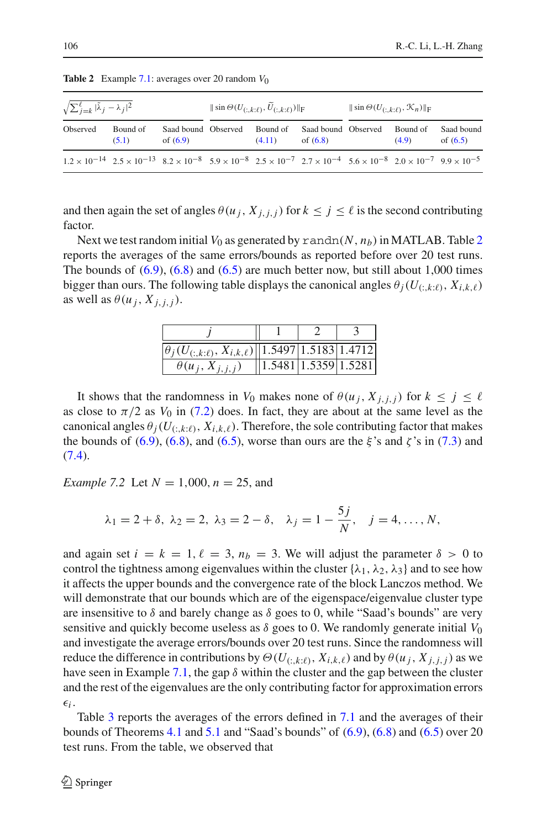| $\sqrt{\sum_{j=k}^{\ell}  \tilde{\lambda}_j - \lambda_j ^2}$ |                                                                                                                                                                                                |                                   | $\ \sin\Theta(U_{(\cdot,k:\ell)},U_{(\cdot,k:\ell)})\ _{\mathcal{F}}$ |                    |                                   | $\ \sin\Theta(U_{(\cdot,k:\ell)},\mathcal{K}_n)\ _{\mathbb{F}}$ |                   |                          |
|--------------------------------------------------------------|------------------------------------------------------------------------------------------------------------------------------------------------------------------------------------------------|-----------------------------------|-----------------------------------------------------------------------|--------------------|-----------------------------------|-----------------------------------------------------------------|-------------------|--------------------------|
| Observed                                                     | Bound of<br>(5.1)                                                                                                                                                                              | Saad bound Observed<br>of $(6.9)$ |                                                                       | Bound of<br>(4.11) | Saad bound Observed<br>of $(6.8)$ |                                                                 | Bound of<br>(4.9) | Saad bound<br>of $(6.5)$ |
|                                                              | $1.2 \times 10^{-14}$ $2.5 \times 10^{-13}$ $8.2 \times 10^{-8}$ $5.9 \times 10^{-8}$ $2.5 \times 10^{-7}$ $2.7 \times 10^{-4}$ $5.6 \times 10^{-8}$ $2.0 \times 10^{-7}$ $9.9 \times 10^{-5}$ |                                   |                                                                       |                    |                                   |                                                                 |                   |                          |

<span id="page-23-1"></span>**Table 2** Example [7.1:](#page-21-0) averages over 20 random *V*0

and then again the set of angles  $\theta(u_j, X_{j,i,j})$  for  $k \leq j \leq \ell$  is the second contributing factor.

Next we test random initial  $V_0$  as generated by random  $(N, n_b)$  in MATLAB. Table [2](#page-23-1) reports the averages of the same errors/bounds as reported before over 20 test runs. The bounds of  $(6.9)$ ,  $(6.8)$  and  $(6.5)$  are much better now, but still about 1,000 times bigger than ours. The following table displays the canonical angles  $\theta_i(U_{(i,k;\ell)}, X_{i,k,\ell})$ as well as  $\theta(u_i, X_{i,i,j})$ .

| $\left \theta_j(U_{(:,k:\ell)}, X_{i,k,\ell})\right    1.5497   1.5183   1.4712 $ |                            |  |
|-----------------------------------------------------------------------------------|----------------------------|--|
| $\theta(u_j, X_{j,j,j})$                                                          | $1.5481$ $1.5359$ $1.5281$ |  |

It shows that the randomness in *V*<sub>0</sub> makes none of  $\theta(u_j, X_{j,i,j})$  for  $k \leq j \leq \ell$ as close to  $\pi/2$  as  $V_0$  in [\(7.2\)](#page-22-0) does. In fact, they are about at the same level as the canonical angles  $\theta_i(U_{(:,k:\ell)}, X_{i,k,\ell})$ . Therefore, the sole contributing factor that makes the bounds of [\(6.9\)](#page-20-3), [\(6.8\)](#page-20-2), and [\(6.5\)](#page-19-2), worse than ours are the  $\xi$ 's and  $\zeta$ 's in [\(7.3\)](#page-22-2) and  $(7.4).$  $(7.4).$ 

<span id="page-23-0"></span>*Example 7.2* Let *N* = 1,000, *n* = 25, and

$$
\lambda_1 = 2 + \delta, \ \lambda_2 = 2, \ \lambda_3 = 2 - \delta, \quad \lambda_j = 1 - \frac{5j}{N}, \quad j = 4, ..., N,
$$

and again set  $i = k = 1, \ell = 3, n_b = 3$ . We will adjust the parameter  $\delta > 0$  to control the tightness among eigenvalues within the cluster  $\{\lambda_1, \lambda_2, \lambda_3\}$  and to see how it affects the upper bounds and the convergence rate of the block Lanczos method. We will demonstrate that our bounds which are of the eigenspace/eigenvalue cluster type are insensitive to  $\delta$  and barely change as  $\delta$  goes to 0, while "Saad's bounds" are very sensitive and quickly become useless as  $\delta$  goes to 0. We randomly generate initial  $V_0$ and investigate the average errors/bounds over 20 test runs. Since the randomness will reduce the difference in contributions by  $\Theta(U_{(:,k:\ell)}, X_{i,k,\ell})$  and by  $\theta(u_i, X_{i,i,j})$  as we have seen in Example [7.1,](#page-21-0) the gap  $\delta$  within the cluster and the gap between the cluster and the rest of the eigenvalues are the only contributing factor for approximation errors  $\epsilon_i$ .

Table [3](#page-24-0) reports the averages of the errors defined in [7.1](#page-21-0) and the averages of their bounds of Theorems [4.1](#page-12-5) and [5.1](#page-15-3) and "Saad's bounds" of  $(6.9)$ ,  $(6.8)$  and  $(6.5)$  over 20 test runs. From the table, we observed that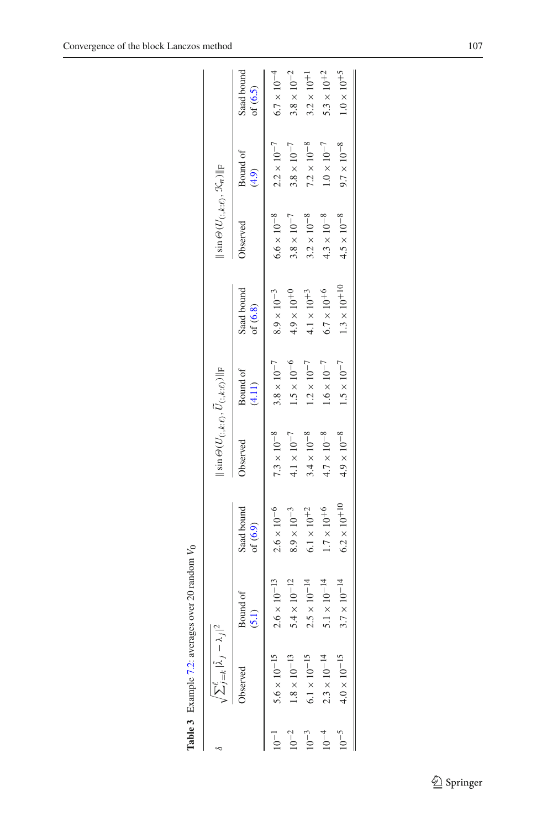|           | $\sum_{j=k}^{\ell} \tilde{\lambda}_{.j}-\lambda_{.j} ^{2}$ |                     |                          | $\parallel \sin \Theta \left( U_{(:,k:\ell)}, \bar{U}_{(:,k:\ell)} \right) \parallel_{\text{F}}$ |                      |                          | $\  \sin \Theta(U_{(:,k:\ell)}, \mathcal{K}_n) \ _{\text{F}}$ |                      |                          |
|-----------|------------------------------------------------------------|---------------------|--------------------------|--------------------------------------------------------------------------------------------------|----------------------|--------------------------|---------------------------------------------------------------|----------------------|--------------------------|
|           | oserved                                                    | Bound of<br>(5.1)   | Saad bound<br>of $(6.9)$ | Observed                                                                                         | Bound of<br>(4.11)   | Saad bound<br>of $(6.8)$ | <b>D</b> bserved                                              | Bound of<br>(4.9)    | Saad bound<br>of $(6.5)$ |
|           | $5.6\times10^{-15}$                                        | $2.6\times10^{-13}$ | $2.6\times10^{-6}$       | $7.3\times10^{-8}$                                                                               | $3.8\times10^{-7}$   | $8.9\times10^{-3}$       | $6.6\times10^{-8}$                                            | $2.2\times10^{-7}$   | $6.7\times10^{-4}$       |
|           | $1.8\times10^{-13}$                                        | $5.4\times10^{-12}$ | $8.9\times10^{-3}$       | $4.1\times10^{-7}$                                                                               | $1.5\times10^{-6}$   | $4.9 \times 10^{+0}$     | $3.8\times10^{-7}$                                            | $3.8\times10^{-7}$   | $3.8\times10^{-2}$       |
| $10^{-3}$ | $6.1\times10^{-15}$                                        | $2.5\times10^{-14}$ | $6.1\times10^{+2}$       | $3.4 \times 10^{-8}$                                                                             | $1.2 \times 10^{-7}$ | $4.1\times10^{+3}$       | $3.2\times10^{-8}$                                            | $7.2\times10^{-8}$   | $3.2\times10^{+1}$       |
|           | $2.3\times10^{-14}$                                        | $5.1\times10^{-14}$ | $1.7\times10^{+6}$       | $4.7\times10^{-8}$                                                                               | $1.6\times10^{-7}$   | $6.7\times10^{+6}$       | $4.3\times10^{-8}$                                            | $1.0\times10^{-7}$   | $5.3\times10^{+2}$       |
| $10^{-5}$ | $4.0\times10^{-15}$                                        | $3.7\times10^{-14}$ | $6.2\times10^{+10}$      | $4.9\times10^{-8}$                                                                               | $1.5\times10^{-7}$   | $1.3\times10^{+10}$      | $4.5\times10^{-8}$                                            | $9.7 \times 10^{-8}$ | $1.0\times10^{+5}$       |
|           |                                                            |                     |                          |                                                                                                  |                      |                          |                                                               |                      |                          |

<span id="page-24-0"></span>**Table 3** Example [7.2:](#page-23-0) averages over 20 random **Table 3** Example  $7.2$ : averages over 20 random  $V_0$ 

 $\underline{\raisebox{.3ex}{\Leftrightarrow}}$  Springer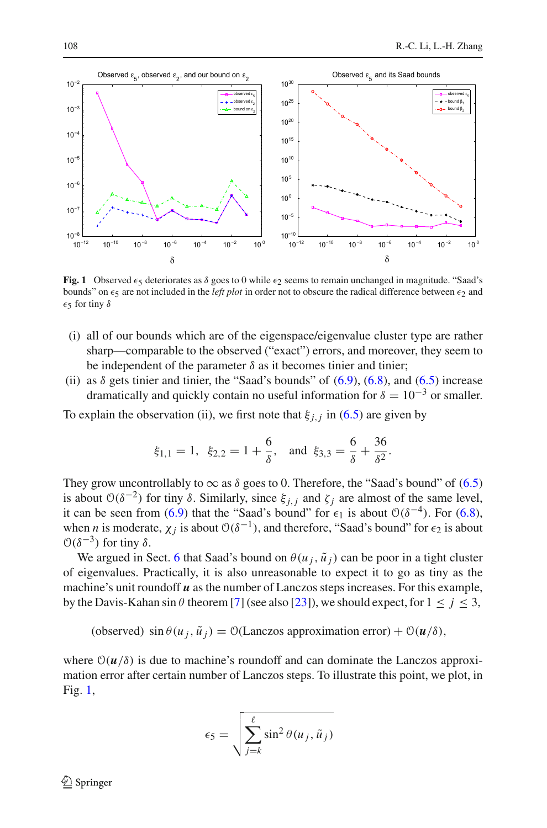

<span id="page-25-0"></span>**Fig. 1** Observed  $\epsilon_5$  deteriorates as  $\delta$  goes to 0 while  $\epsilon_2$  seems to remain unchanged in magnitude. "Saad's bounds" on  $\epsilon_5$  are not included in the *left plot* in order not to obscure the radical difference between  $\epsilon_2$  and  $\epsilon$ 5 for tiny  $\delta$ 

- (i) all of our bounds which are of the eigenspace/eigenvalue cluster type are rather sharp—comparable to the observed ("exact") errors, and moreover, they seem to be independent of the parameter  $\delta$  as it becomes tinier and tinier;
- (ii) as  $\delta$  gets tinier and tinier, the "Saad's bounds" of  $(6.9)$ ,  $(6.8)$ , and  $(6.5)$  increase dramatically and quickly contain no useful information for  $\delta = 10^{-3}$  or smaller.

To explain the observation (ii), we first note that  $\xi_{i,j}$  in [\(6.5\)](#page-19-2) are given by

$$
\xi_{1,1} = 1
$$
,  $\xi_{2,2} = 1 + \frac{6}{\delta}$ , and  $\xi_{3,3} = \frac{6}{\delta} + \frac{36}{\delta^2}$ .

They grow uncontrollably to  $\infty$  as  $\delta$  goes to 0. Therefore, the "Saad's bound" of [\(6.5\)](#page-19-2) is about  $O(\delta^{-2})$  for tiny  $\delta$ . Similarly, since  $\xi_{j,i}$  and  $\zeta_j$  are almost of the same level, it can be seen from [\(6.9\)](#page-20-3) that the "Saad's bound" for  $\epsilon_1$  is about  $\mathcal{O}(\delta^{-4})$ . For [\(6.8\)](#page-20-2), when *n* is moderate,  $\chi_j$  is about  $\mathcal{O}(\delta^{-1})$ , and therefore, "Saad's bound" for  $\epsilon_2$  is about  $\mathcal{O}(\delta^{-3})$  for tiny δ.

We argued in Sect. [6](#page-18-0) that Saad's bound on  $\theta(u_j, \tilde{u}_j)$  can be poor in a tight cluster of eigenvalues. Practically, it is also unreasonable to expect it to go as tiny as the machine's unit roundoff *u* as the number of Lanczos steps increases. For this example, by the Davis-Kahan sin  $\theta$  theorem [\[7](#page-29-6)] (see also [\[23\]](#page-30-9)), we should expect, for  $1 \le j \le 3$ ,

(observed)  $\sin \theta (u_j, \tilde{u}_j) = \mathcal{O}(\text{Lanczos approximation error}) + \mathcal{O}(u/\delta),$ 

where  $\mathcal{O}(u/\delta)$  is due to machine's roundoff and can dominate the Lanczos approximation error after certain number of Lanczos steps. To illustrate this point, we plot, in Fig. [1,](#page-25-0)

$$
\epsilon_5 = \sqrt{\sum_{j=k}^{\ell} \sin^2 \theta(u_j, \tilde{u}_j)}
$$

 $\mathcal{L}$  Springer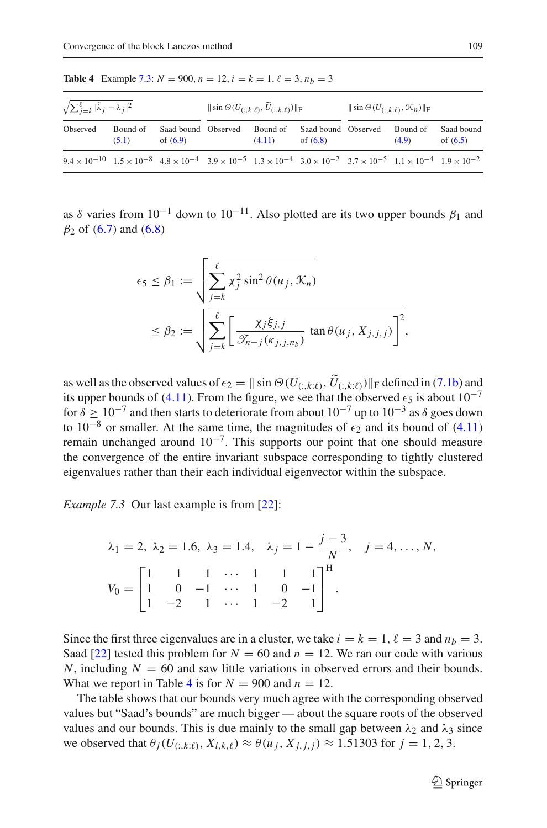| $\sqrt{\sum_{j=k}^{\ell}  \tilde{\lambda}_j - \lambda_j ^2}$                                                                                                                                  |                   |                                   | $\ \sin\Theta(U_{(\cdot,k:\ell)},U_{(\cdot,k:\ell)})\ _{\mathcal{F}}$ |                    |                                   | $\ \sin\Theta(U_{(:,k:\ell)},\mathcal{K}_n)\ _{\text{F}}$ |                   |                          |
|-----------------------------------------------------------------------------------------------------------------------------------------------------------------------------------------------|-------------------|-----------------------------------|-----------------------------------------------------------------------|--------------------|-----------------------------------|-----------------------------------------------------------|-------------------|--------------------------|
| Observed                                                                                                                                                                                      | Bound of<br>(5.1) | Saad bound Observed<br>of $(6.9)$ |                                                                       | Bound of<br>(4.11) | Saad bound Observed<br>of $(6.8)$ |                                                           | Bound of<br>(4.9) | Saad bound<br>of $(6.5)$ |
| $9.4 \times 10^{-10}$ $1.5 \times 10^{-8}$ $4.8 \times 10^{-4}$ $3.9 \times 10^{-5}$ $1.3 \times 10^{-4}$ $3.0 \times 10^{-2}$ $3.7 \times 10^{-5}$ $1.1 \times 10^{-4}$ $1.9 \times 10^{-2}$ |                   |                                   |                                                                       |                    |                                   |                                                           |                   |                          |

<span id="page-26-1"></span>**Table 4** Example [7.3:](#page-26-0)  $N = 900$ ,  $n = 12$ ,  $i = k = 1$ ,  $\ell = 3$ ,  $n_b = 3$ 

as  $\delta$  varies from 10<sup>-1</sup> down to 10<sup>-11</sup>. Also plotted are its two upper bounds  $\beta_1$  and  $β_2$  of [\(6.7\)](#page-20-1) and [\(6.8\)](#page-20-2)

$$
\epsilon_5 \le \beta_1 := \sqrt{\sum_{j=k}^{\ell} \chi_j^2 \sin^2 \theta(u_j, \mathcal{K}_n)}
$$
  

$$
\le \beta_2 := \sqrt{\sum_{j=k}^{\ell} \left[ \frac{\chi_j \xi_{j,j}}{\mathcal{F}_{n-j}(\kappa_{j,j,n_b})} \tan \theta(u_j, X_{j,j,j}) \right]^2},
$$

as well as the observed values of  $\epsilon_2 = ||\sin \Theta(U_{(:,k:\ell)}, U_{(:,k:\ell)})||_F$  defined in [\(7.1b\)](#page-21-1) and its upper bounds of [\(4.11\)](#page-12-7). From the figure, we see that the observed  $\epsilon_5$  is about  $10^{-7}$ for  $\delta > 10^{-7}$  and then starts to deteriorate from about  $10^{-7}$  up to  $10^{-3}$  as  $\delta$  goes down to 10<sup>-8</sup> or smaller. At the same time, the magnitudes of  $\epsilon_2$  and its bound of [\(4.11\)](#page-12-7) remain unchanged around  $10^{-7}$ . This supports our point that one should measure the convergence of the entire invariant subspace corresponding to tightly clustered eigenvalues rather than their each individual eigenvector within the subspace.

<span id="page-26-0"></span>*Example 7.3* Our last example is from [\[22](#page-30-5)]:

$$
\lambda_1 = 2, \ \lambda_2 = 1.6, \ \lambda_3 = 1.4, \quad \lambda_j = 1 - \frac{j - 3}{N}, \quad j = 4, \dots, N,
$$

$$
V_0 = \begin{bmatrix} 1 & 1 & 1 & \cdots & 1 & 1 & 1 \\ 1 & 0 & -1 & \cdots & 1 & 0 & -1 \\ 1 & -2 & 1 & \cdots & 1 & -2 & 1 \end{bmatrix}^H.
$$

Since the first three eigenvalues are in a cluster, we take  $i = k = 1$ ,  $\ell = 3$  and  $n_b = 3$ . Saad [\[22\]](#page-30-5) tested this problem for  $N = 60$  and  $n = 12$ . We ran our code with various *N*, including  $N = 60$  and saw little variations in observed errors and their bounds. What we report in Table [4](#page-26-1) is for  $N = 900$  and  $n = 12$ .

The table shows that our bounds very much agree with the corresponding observed values but "Saad's bounds" are much bigger — about the square roots of the observed values and our bounds. This is due mainly to the small gap between  $\lambda_2$  and  $\lambda_3$  since we observed that  $\theta_j(U_{(:,k:\ell)}, X_{i,k,\ell}) \approx \theta(u_j, X_{j,i,j}) \approx 1.51303$  for  $j = 1, 2, 3$ .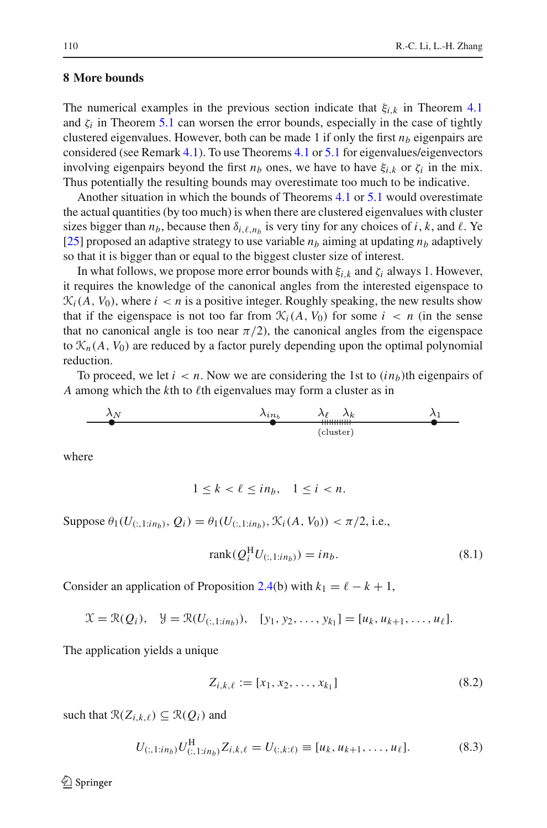# <span id="page-27-0"></span>**8 More bounds**

The numerical examples in the previous section indicate that  $\xi_{i,k}$  in Theorem [4.1](#page-12-5) and  $\zeta_i$  in Theorem [5.1](#page-15-3) can worsen the error bounds, especially in the case of tightly clustered eigenvalues. However, both can be made 1 if only the first  $n<sub>b</sub>$  eigenpairs are considered (see Remark [4.1\)](#page-15-4). To use Theorems [4.1](#page-12-5) or [5.1](#page-15-3) for eigenvalues/eigenvectors involving eigenpairs beyond the first  $n_b$  ones, we have to have  $\xi_i$ , or  $\zeta_i$  in the mix. Thus potentially the resulting bounds may overestimate too much to be indicative.

Another situation in which the bounds of Theorems [4.1](#page-12-5) or [5.1](#page-15-3) would overestimate the actual quantities (by too much) is when there are clustered eigenvalues with cluster sizes bigger than  $n_b$ , because then  $\delta_{i,\ell,n_b}$  is very tiny for any choices of *i*, *k*, and  $\ell$ . Ye [\[25](#page-30-2)] proposed an adaptive strategy to use variable  $n_b$  aiming at updating  $n_b$  adaptively so that it is bigger than or equal to the biggest cluster size of interest.

In what follows, we propose more error bounds with  $\xi$ <sub>*i*</sub>  $k$  and  $\zeta$ *<sub>i</sub>* always 1. However, it requires the knowledge of the canonical angles from the interested eigenspace to  $\mathcal{K}_i(A, V_0)$ , where  $i < n$  is a positive integer. Roughly speaking, the new results show that if the eigenspace is not too far from  $\mathcal{K}_i(A, V_0)$  for some  $i < n$  (in the sense that no canonical angle is too near  $\pi/2$ , the canonical angles from the eigenspace to  $\mathcal{K}_n(A, V_0)$  are reduced by a factor purely depending upon the optimal polynomial reduction.

To proceed, we let  $i < n$ . Now we are considering the 1st to  $(in<sub>b</sub>)$ <sup>th</sup> eigenpairs of *A* among which the  $k$ th to  $\ell$ th eigenvalues may form a cluster as in

$$
\begin{array}{c|c}\n\lambda_N & \lambda_{in_b} & \lambda_\ell & \lambda_k \\
\hline\n\end{array}
$$

where

$$
1 \le k < \ell \le in_b, \quad 1 \le i < n.
$$

Suppose  $\theta_1(U_{(:,1:in_b)}, Q_i) = \theta_1(U_{(:,1:in_b)}, \mathcal{K}_i(A, V_0)) < \pi/2$ , i.e.,

$$
rank(Q_i^{\mathrm{H}}U_{(:,1:in_b)}) = in_b.
$$
\n
$$
(8.1)
$$

Consider an application of Proposition [2.4\(](#page-7-2)b) with  $k_1 = \ell - k + 1$ ,

 $\mathcal{X} = \mathcal{R}(Q_i), \quad \mathcal{Y} = \mathcal{R}(U_{(:,1:in_b)}), \quad [y_1, y_2, \ldots, y_{k_1}] = [u_k, u_{k+1}, \ldots, u_\ell].$ 

<span id="page-27-1"></span>The application yields a unique

$$
Z_{i,k,\ell} := [x_1, x_2, \dots, x_{k_1}]
$$
\n(8.2)

such that  $\mathcal{R}(Z_{i,k,\ell}) \subseteq \mathcal{R}(Q_i)$  and

$$
U_{(:,1:in_b)} U_{(:,1:in_b)}^{\mathrm{H}} Z_{i,k,\ell} = U_{(:,k:\ell)} \equiv [u_k, u_{k+1}, \dots, u_{\ell}]. \tag{8.3}
$$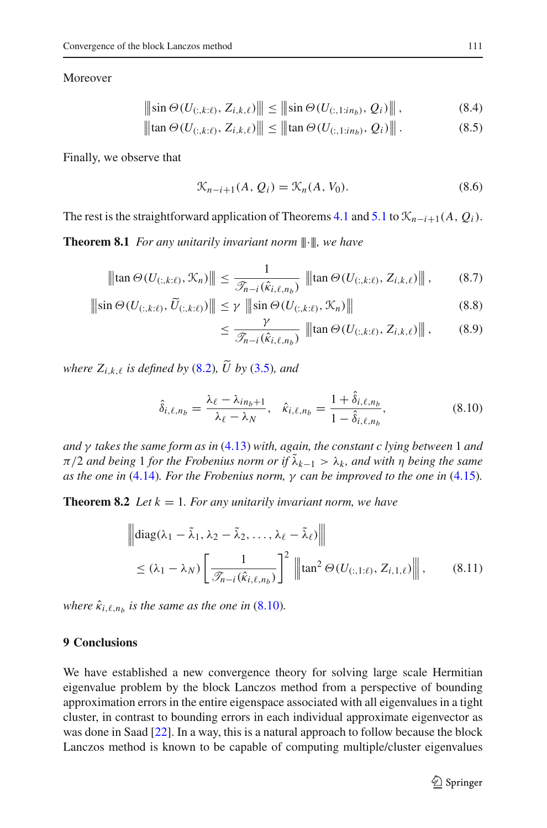$\overline{\phantom{a}}$ -

Moreover

$$
\|\sin \Theta(U_{(:,k:\ell)}, Z_{i,k,\ell})\| \le \|\sin \Theta(U_{(:,1:in_b)}, Q_i)\|,
$$
\n(8.4)

$$
\|\tan \Theta(U_{(:,k:\ell)}, Z_{i,k,\ell})\| \le \|\tan \Theta(U_{(:,1:n_b)}, Q_i)\|.
$$
 (8.5)

Finally, we observe that

$$
\mathcal{K}_{n-i+1}(A, Q_i) = \mathcal{K}_n(A, V_0). \tag{8.6}
$$

The rest is the straightforward application of Theorems [4.1](#page-12-5) and [5.1](#page-15-3) to  $\mathcal{K}_{n-i+1}(A, Q_i)$ .

**Theorem 8.1** *For any unitarily invariant norm* |||·|||*, we have*

$$
\|\tan \Theta(U_{(:,k:\ell)}, \mathcal{K}_n)\| \le \frac{1}{\mathcal{J}_{n-i}(\hat{\kappa}_{i,\ell,n_b})} \|\tan \Theta(U_{(:,k:\ell)}, Z_{i,k,\ell})\|,
$$
(8.7)

$$
\|\sin \Theta(U_{(:,k:\ell)}, \widetilde{U}_{(:,k:\ell)})\| \le \gamma \|\sin \Theta(U_{(:,k:\ell)}, \mathcal{K}_n)\|
$$
\n(8.8)

$$
\leq \frac{\gamma}{\mathcal{I}_{n-i}(\hat{\kappa}_{i,\ell,n_b})} \|\|\tan \Theta(U_{(:,k:\ell)}, Z_{i,k,\ell})\|\|,\tag{8.9}
$$

*where*  $Z_{i,k,\ell}$  *is defined by* [\(8.2\)](#page-27-1)*,*  $\widetilde{U}$  *by* (3.5*), and* 

$$
\hat{\delta}_{i,\ell,n_b} = \frac{\lambda_{\ell} - \lambda_{in_b+1}}{\lambda_{\ell} - \lambda_N}, \quad \hat{\kappa}_{i,\ell,n_b} = \frac{1 + \hat{\delta}_{i,\ell,n_b}}{1 - \hat{\delta}_{i,\ell,n_b}},
$$
(8.10)

<span id="page-28-1"></span>*and* γ *takes the same form as in* [\(4.13\)](#page-12-2) *with, again, the constant c lying between* 1 *and*  $\pi/2$  *and being* 1 *for the Frobenius norm or if*  $\lambda_{k-1} > \lambda_k$ *, and with*  $\eta$  *being the same as the one in* [\(4.14\)](#page-12-8)*. For the Frobenius norm,* γ *can be improved to the one in* [\(4.15\)](#page-12-6)*.*

**Theorem 8.2** *Let*  $k = 1$ *. For any unitarily invariant norm, we have* 

$$
\begin{aligned}\n\left\| \text{diag}(\lambda_1 - \tilde{\lambda}_1, \lambda_2 - \tilde{\lambda}_2, \dots, \lambda_\ell - \tilde{\lambda}_\ell) \right\| \\
&\leq (\lambda_1 - \lambda_N) \left[ \frac{1}{\mathcal{I}_{n-i}(\hat{\kappa}_{i,\ell,n_b})} \right]^2 \left\| \tan^2 \Theta(U_{(:,1:\ell)}, Z_{i,1,\ell}) \right\|,\n\end{aligned} \tag{8.11}
$$

*where*  $\hat{\kappa}_{i,\ell,n_b}$  *is the same as the one in* [\(8.10\)](#page-28-1)*.* 

# <span id="page-28-0"></span>**9 Conclusions**

We have established a new convergence theory for solving large scale Hermitian eigenvalue problem by the block Lanczos method from a perspective of bounding approximation errors in the entire eigenspace associated with all eigenvalues in a tight cluster, in contrast to bounding errors in each individual approximate eigenvector as was done in Saad [\[22](#page-30-5)]. In a way, this is a natural approach to follow because the block Lanczos method is known to be capable of computing multiple/cluster eigenvalues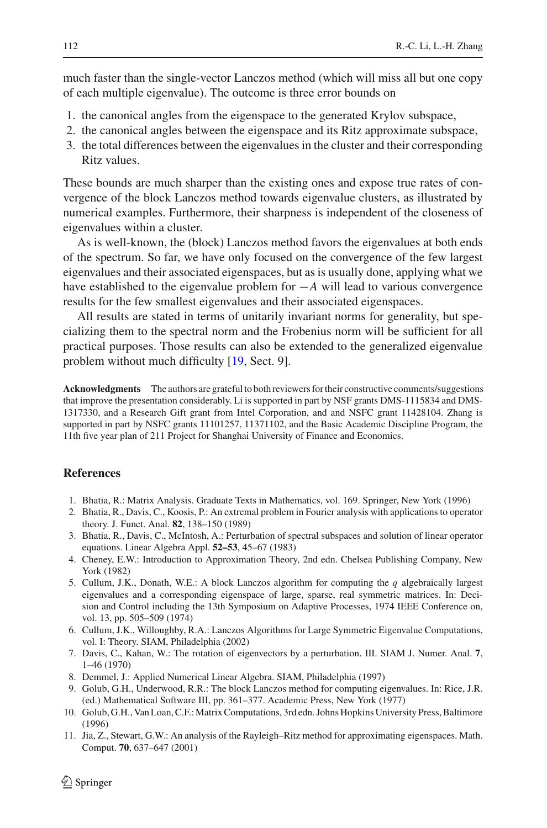much faster than the single-vector Lanczos method (which will miss all but one copy of each multiple eigenvalue). The outcome is three error bounds on

- 1. the canonical angles from the eigenspace to the generated Krylov subspace,
- 2. the canonical angles between the eigenspace and its Ritz approximate subspace,
- 3. the total differences between the eigenvalues in the cluster and their corresponding Ritz values.

These bounds are much sharper than the existing ones and expose true rates of convergence of the block Lanczos method towards eigenvalue clusters, as illustrated by numerical examples. Furthermore, their sharpness is independent of the closeness of eigenvalues within a cluster.

As is well-known, the (block) Lanczos method favors the eigenvalues at both ends of the spectrum. So far, we have only focused on the convergence of the few largest eigenvalues and their associated eigenspaces, but as is usually done, applying what we have established to the eigenvalue problem for −*A* will lead to various convergence results for the few smallest eigenvalues and their associated eigenspaces.

All results are stated in terms of unitarily invariant norms for generality, but specializing them to the spectral norm and the Frobenius norm will be sufficient for all practical purposes. Those results can also be extended to the generalized eigenvalue problem without much difficulty [\[19](#page-30-13), Sect. 9].

**Acknowledgments** The authors are grateful to both reviewers for their constructive comments/suggestions that improve the presentation considerably. Li is supported in part by NSF grants DMS-1115834 and DMS-1317330, and a Research Gift grant from Intel Corporation, and and NSFC grant 11428104. Zhang is supported in part by NSFC grants 11101257, 11371102, and the Basic Academic Discipline Program, the 11th five year plan of 211 Project for Shanghai University of Finance and Economics.

## <span id="page-29-5"></span>**References**

- 1. Bhatia, R.: Matrix Analysis. Graduate Texts in Mathematics, vol. 169. Springer, New York (1996)
- <span id="page-29-7"></span>2. Bhatia, R., Davis, C., Koosis, P.: An extremal problem in Fourier analysis with applications to operator theory. J. Funct. Anal. **82**, 138–150 (1989)
- <span id="page-29-8"></span>3. Bhatia, R., Davis, C., McIntosh, A.: Perturbation of spectral subspaces and solution of linear operator equations. Linear Algebra Appl. **52–53**, 45–67 (1983)
- <span id="page-29-9"></span>4. Cheney, E.W.: Introduction to Approximation Theory, 2nd edn. Chelsea Publishing Company, New York (1982)
- <span id="page-29-2"></span>5. Cullum, J.K., Donath, W.E.: A block Lanczos algorithm for computing the *q* algebraically largest eigenvalues and a corresponding eigenspace of large, sparse, real symmetric matrices. In: Decision and Control including the 13th Symposium on Adaptive Processes, 1974 IEEE Conference on, vol. 13, pp. 505–509 (1974)
- <span id="page-29-3"></span>6. Cullum, J.K., Willoughby, R.A.: Lanczos Algorithms for Large Symmetric Eigenvalue Computations, vol. I: Theory. SIAM, Philadelphia (2002)
- <span id="page-29-6"></span>7. Davis, C., Kahan, W.: The rotation of eigenvectors by a perturbation. III. SIAM J. Numer. Anal. **7**, 1–46 (1970)
- 8. Demmel, J.: Applied Numerical Linear Algebra. SIAM, Philadelphia (1997)
- <span id="page-29-0"></span>9. Golub, G.H., Underwood, R.R.: The block Lanczos method for computing eigenvalues. In: Rice, J.R. (ed.) Mathematical Software III, pp. 361–377. Academic Press, New York (1977)
- <span id="page-29-4"></span><span id="page-29-1"></span>10. Golub, G.H., Van Loan, C.F.:Matrix Computations, 3rd edn. Johns Hopkins University Press, Baltimore (1996)
- <span id="page-29-10"></span>11. Jia, Z., Stewart, G.W.: An analysis of the Rayleigh–Ritz method for approximating eigenspaces. Math. Comput. **70**, 637–647 (2001)